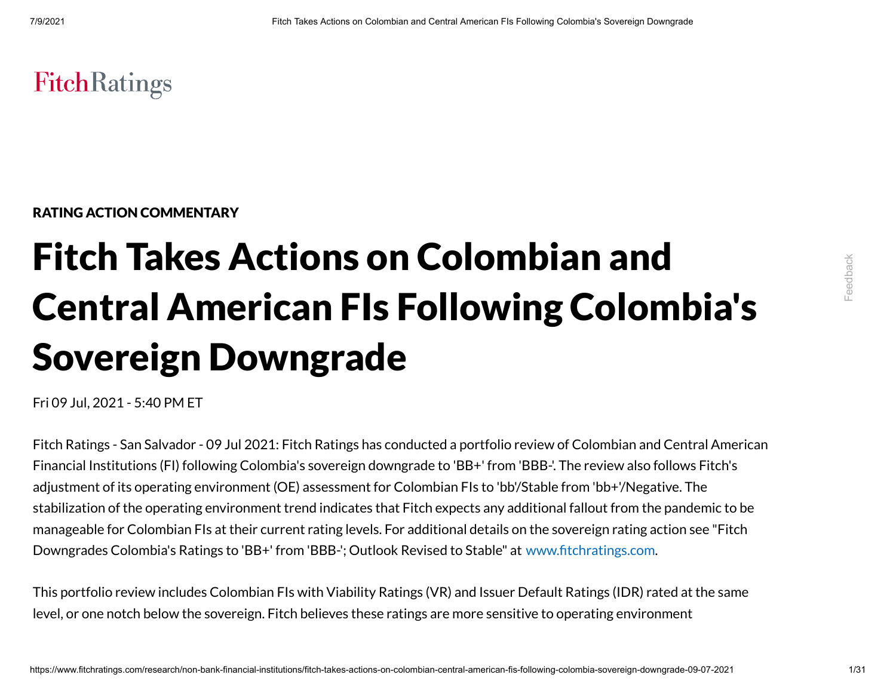# **FitchRatings**

RATING ACTION COMMENTARY

# Fitch Takes Actions on Colombian and Central American FIs Following Colombia's Sovereign Downgrade **FITCN TAKES ACTIONS ON COIOMDIAN AND<br>
Central American FIS Following Colombia's<br>
Sovereign Downgrade<br>
Firio<sup>9</sup>Jul, 2021-5:40 PM ET<br>
Fitch Ratings - San Salvador - 09 Jul 2021: Fitch Ratings has conducted a portfolio revie**

Fri 09 Jul, 2021 - 5:40 PM ET

Fitch Ratings - San Salvador - 09 Jul 2021: Fitch Ratings has conducted a portfolio review of Colombian and Central American Financial Institutions (FI) following Colombia's sovereign downgrade to 'BB+' from 'BBB-'. The review also follows Fitch's adjustment of its operating environment (OE) assessment for Colombian FIs to 'bb'/Stable from 'bb+'/Negative. The stabilization of the operating environment trend indicates that Fitch expects any additional fallout from the pandemic to be manageable for Colombian FIs at their current rating levels. For additional details on the sovereign rating action see "Fitch Downgrades Colombia's Ratings to 'BB+' from 'BBB-'; Outlook Revised to Stable" at [www.fitchratings.com](http://www.fitchratings.com/).

This portfolio review includes Colombian FIs with Viability Ratings (VR) and Issuer Default Ratings (IDR) rated at the same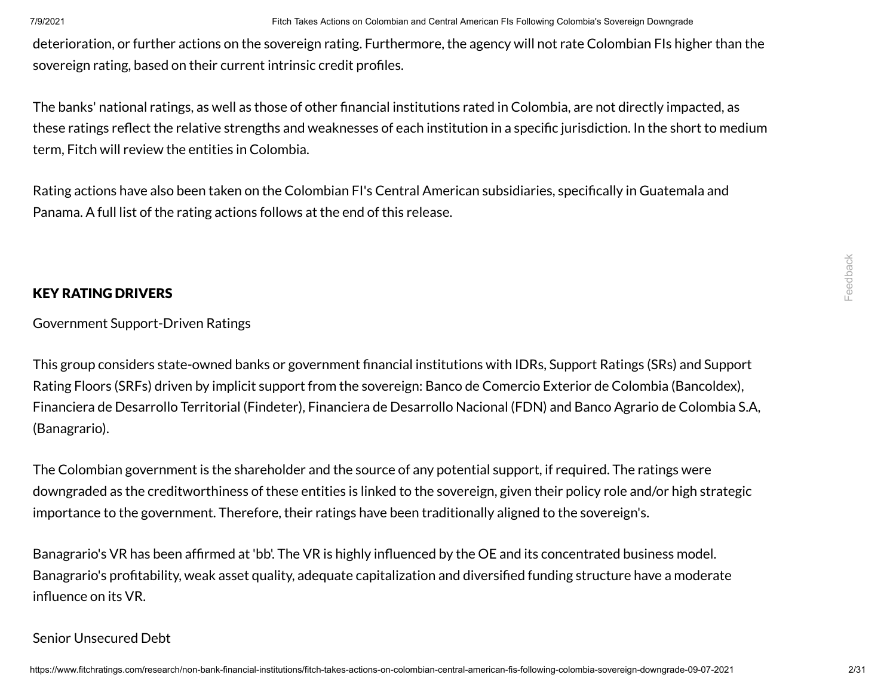deterioration, or further actions on the sovereign rating. Furthermore, the agency will not rate Colombian FIs higher than the sovereign rating, based on their current intrinsic credit profiles.

The banks' national ratings, as well as those of other financial institutions rated in Colombia, are not directly impacted, as these ratings reflect the relative strengths and weaknesses of each institution in a specific jurisdiction. In the short to medium term, Fitch will review the entities in Colombia.

Rating actions have also been taken on the Colombian FI's Central American subsidiaries, specifically in Guatemala and Panama. A full list of the rating actions follows at the end of this release.

## KEY RATING DRIVERS

Government Support-Driven Ratings

This group considers state-owned banks or government financial institutions with IDRs, Support Ratings (SRs) and Support Rating Floors (SRFs) driven by implicit support from the sovereign: Banco de Comercio Exterior de Colombia (Bancoldex), Financiera de Desarrollo Territorial (Findeter), Financiera de Desarrollo Nacional (FDN) and Banco Agrario de Colombia S.A, (Banagrario). **KEY RATING DRIVERS**<br>
Sovernment Support-Driven Ratings<br>
Sovernment Support-Driven Ratings<br>
This group considers state-owned banks or government financial institutions with IDRs, Support Ratings (SRs) and Support<br>
Rating F

The Colombian government is the shareholder and the source of any potential support, if required. The ratings were downgraded as the creditworthiness of these entities is linked to the sovereign, given their policy role and/or high strategic importance to the government. Therefore, their ratings have been traditionally aligned to the sovereign's.

Banagrario's VR has been affirmed at 'bb'. The VR is highly influenced by the OE and its concentrated business model. Banagrario's profitability, weak asset quality, adequate capitalization and diversified funding structure have a moderate influence on its VR.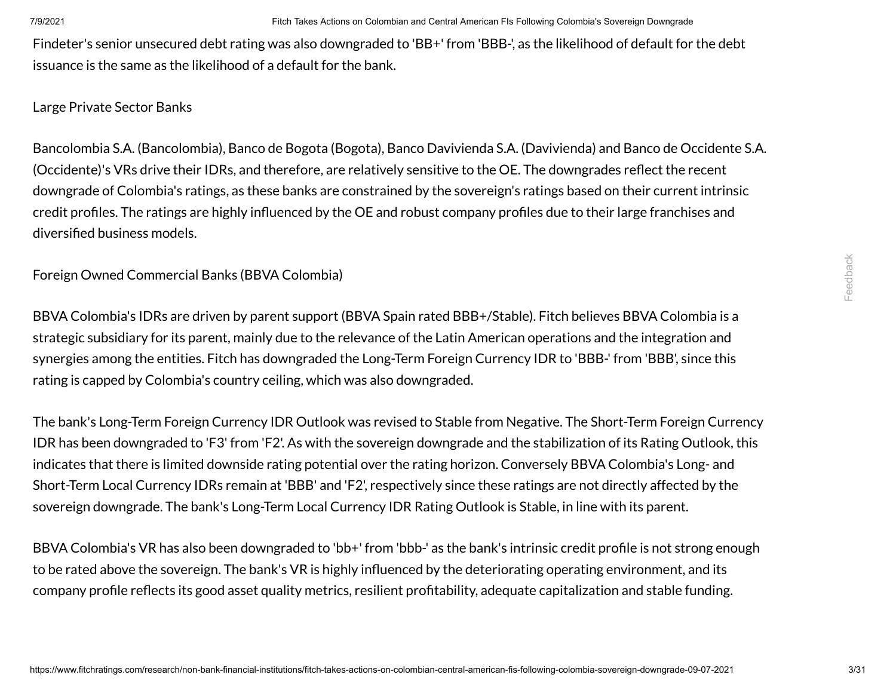Findeter's senior unsecured debt rating was also downgraded to 'BB+' from 'BBB-', as the likelihood of default for the debt issuance is the same as the likelihood of a default for the bank.

#### Large Private Sector Banks

Bancolombia S.A. (Bancolombia), Banco de Bogota (Bogota), Banco Davivienda S.A. (Davivienda) and Banco de Occidente S.A. (Occidente)'s VRs drive their IDRs, and therefore, are relatively sensitive to the OE. The downgrades reflect the recent downgrade of Colombia's ratings, as these banks are constrained by the sovereign's ratings based on their current intrinsic credit profiles. The ratings are highly influenced by the OE and robust company profiles due to their large franchises and diversified business models.

Foreign Owned Commercial Banks (BBVA Colombia)

BBVA Colombia's IDRs are driven by parent support (BBVA Spain rated BBB+/Stable). Fitch believes BBVA Colombia is a strategic subsidiary for its parent, mainly due to the relevance of the Latin American operations and the integration and synergies among the entities. Fitch has downgraded the Long-Term Foreign Currency IDR to 'BBB-' from 'BBB', since this rating is capped by Colombia's country ceiling, which was also downgraded.

The bank's Long-Term Foreign Currency IDR Outlook was revised to Stable from Negative. The Short-Term Foreign Currency IDR has been downgraded to 'F3' from 'F2'. As with the sovereign downgrade and the stabilization of its Rating Outlook, this indicates that there is limited downside rating potential over the rating horizon. Conversely BBVA Colombia's Long- and Short-Term Local Currency IDRs remain at 'BBB' and 'F2', respectively since these ratings are not directly affected by the sovereign downgrade. The bank's Long-Term Local Currency IDR Rating Outlook is Stable, in line with its parent. Foreign Owned Commercial Banks (BBVA Colombia)<br>BBVA Colombia's IDRs are driven by parent support (BBVA Spain rated BBB+/Stable). Fitch believes BBVA Colombia is a<br>strategic subsidiary for its parent, mainly due to the rele

BBVA Colombia's VR has also been downgraded to 'bb+' from 'bbb-' as the bank's intrinsic credit profile is not strong enough to be rated above the sovereign. The bank's VR is highly influenced by the deteriorating operating environment, and its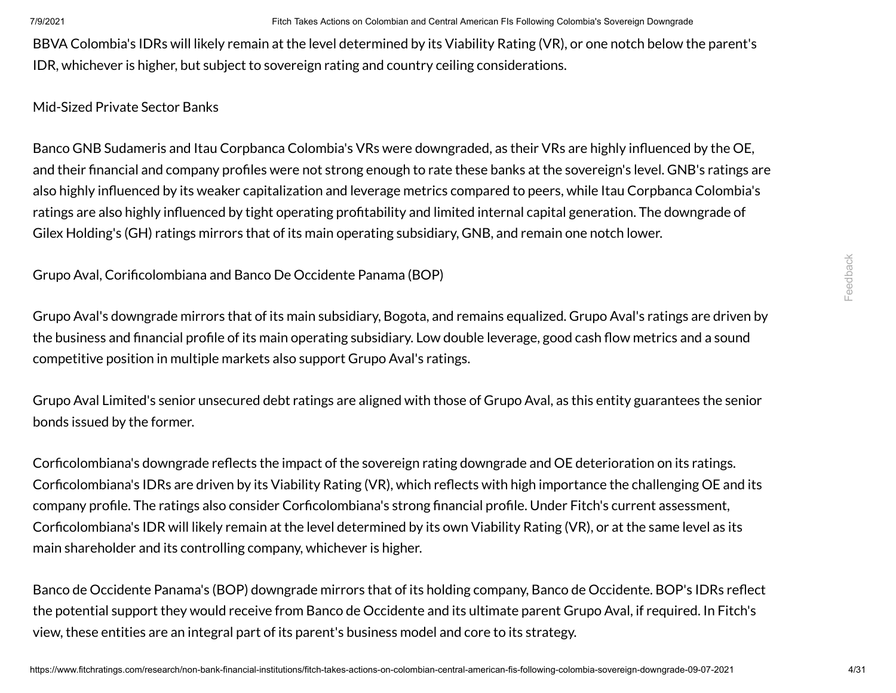BBVA Colombia's IDRs will likely remain at the level determined by its Viability Rating (VR), or one notch below the parent's IDR, whichever is higher, but subject to sovereign rating and country ceiling considerations.

Mid-Sized Private Sector Banks

Banco GNB Sudameris and Itau Corpbanca Colombia's VRs were downgraded, as their VRs are highly influenced by the OE, and their financial and company profiles were not strong enough to rate these banks at the sovereign's level. GNB's ratings are also highly influenced by its weaker capitalization and leverage metrics compared to peers, while Itau Corpbanca Colombia's ratings are also highly influenced by tight operating profitability and limited internal capital generation. The downgrade of Gilex Holding's (GH) ratings mirrors that of its main operating subsidiary, GNB, and remain one notch lower.

Grupo Aval, Corificolombiana and Banco De Occidente Panama (BOP)

Grupo Aval's downgrade mirrors that of its main subsidiary, Bogota, and remains equalized. Grupo Aval's ratings are driven by the business and financial profile of its main operating subsidiary. Low double leverage, good cash flow metrics and a sound competitive position in multiple markets also support Grupo Aval's ratings.

Grupo Aval Limited's senior unsecured debt ratings are aligned with those of Grupo Aval, as this entity guarantees the senior bonds issued by the former.

Corficolombiana's downgrade reflects the impact of the sovereign rating downgrade and OE deterioration on its ratings. Corficolombiana's IDRs are driven by its Viability Rating (VR), which reflects with high importance the challenging OE and its company profile. The ratings also consider Corficolombiana's strong financial profile. Under Fitch's current assessment, Corficolombiana's IDR will likely remain at the level determined by its own Viability Rating (VR), or at the same level as its main shareholder and its controlling company, whichever is higher. Grupo Aval, Corificolombiana and Banco De Occidente Panama (BOP)<br>
Grupo Aval's ratings are driven by<br>
the business and financial profile of its main operating subsidiary, Low double leverage, good cash flow metrics and a s

Banco de Occidente Panama's (BOP) downgrade mirrors that of its holding company, Banco de Occidente. BOP's IDRs reflect the potential support they would receive from Banco de Occidente and its ultimate parent Grupo Aval, if required. In Fitch's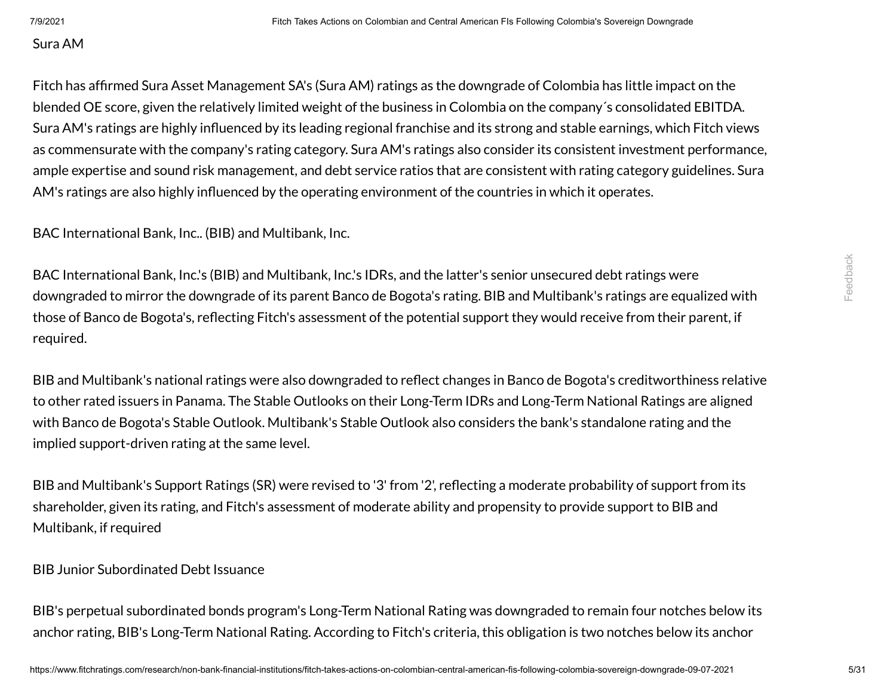#### Sura AM

Fitch has affirmed Sura Asset Management SA's (Sura AM) ratings as the downgrade of Colombia has little impact on the blended OE score, given the relatively limited weight of the business in Colombia on the company´s consolidated EBITDA. Sura AM's ratings are highly influenced by its leading regional franchise and its strong and stable earnings, which Fitch views as commensurate with the company's rating category. Sura AM's ratings also consider its consistent investment performance, ample expertise and sound risk management, and debt service ratios that are consistent with rating category guidelines. Sura AM's ratings are also highly influenced by the operating environment of the countries in which it operates.

BAC International Bank, Inc.. (BIB) and Multibank, Inc.

BAC International Bank, Inc.'s (BIB) and Multibank, Inc.'s IDRs, and the latter's senior unsecured debt ratings were downgraded to mirror the downgrade of its parent Banco de Bogota's rating. BIB and Multibank's ratings are equalized with those of Banco de Bogota's, reflecting Fitch's assessment of the potential support they would receive from their parent, if required.

BIB and Multibank's national ratings were also downgraded to reflect changes in Banco de Bogota's creditworthiness relative to other rated issuers in Panama. The Stable Outlooks on their Long-Term IDRs and Long-Term National Ratings are aligned with Banco de Bogota's Stable Outlook. Multibank's Stable Outlook also considers the bank's standalone rating and the implied support-driven rating at the same level. BAC International Bank, Inc.'s (BIB) and Multibank, Inc.'s IDRs, and the latter's senior unsecured debt ratings were<br>downgraded to mirror the downgrade of its parent Banco de Bogota's rating. BIB and Multibank's ratings ar

BIB and Multibank's Support Ratings (SR) were revised to '3' from '2', reflecting a moderate probability of support from its shareholder, given its rating, and Fitch's assessment of moderate ability and propensity to provide support to BIB and Multibank, if required

BIB Junior Subordinated Debt Issuance

BIB's perpetual subordinated bonds program's Long-Term National Rating was downgraded to remain four notches below its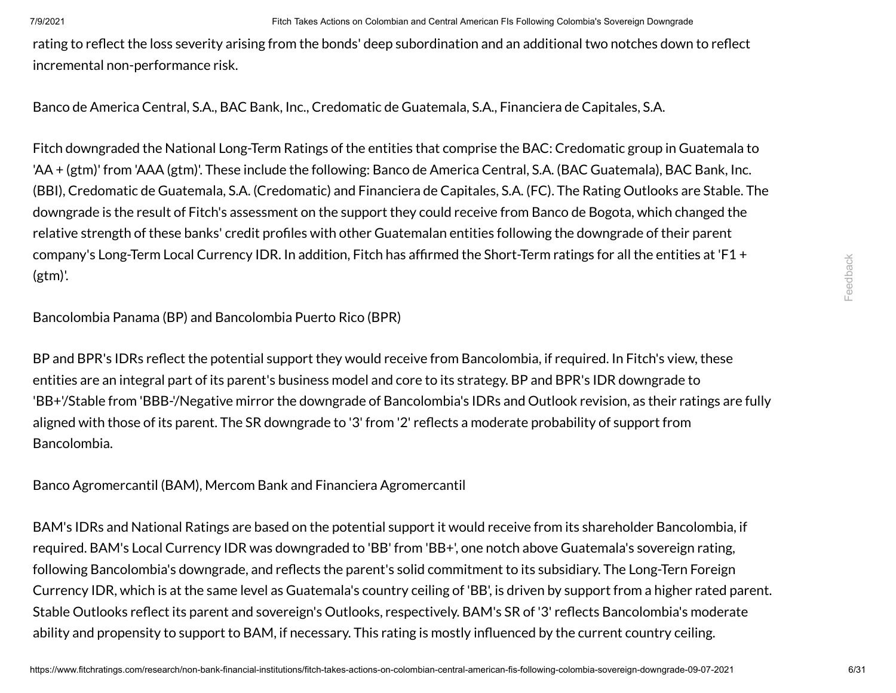rating to reflect the loss severity arising from the bonds' deep subordination and an additional two notches down to reflect incremental non-performance risk.

Banco de America Central, S.A., BAC Bank, Inc., Credomatic de Guatemala, S.A., Financiera de Capitales, S.A.

Fitch downgraded the National Long-Term Ratings of the entities that comprise the BAC: Credomatic group in Guatemala to 'AA + (gtm)' from 'AAA (gtm)'. These include the following: Banco de America Central, S.A. (BAC Guatemala), BAC Bank, Inc. (BBI), Credomatic de Guatemala, S.A. (Credomatic) and Financiera de Capitales, S.A. (FC). The Rating Outlooks are Stable. The downgrade is the result of Fitch's assessment on the support they could receive from Banco de Bogota, which changed the relative strength of these banks' credit profiles with other Guatemalan entities following the downgrade of their parent company's Long-Term Local Currency IDR. In addition, Fitch has affirmed the Short-Term ratings for all the entities at 'F1 + (gtm)'.

Bancolombia Panama (BP) and Bancolombia Puerto Rico (BPR)

BP and BPR's IDRs reflect the potential support they would receive from Bancolombia, if required. In Fitch's view, these entities are an integral part of its parent's business model and core to its strategy. BP and BPR's IDR downgrade to 'BB+'/Stable from 'BBB-'/Negative mirror the downgrade of Bancolombia's IDRs and Outlook revision, as their ratings are fully aligned with those of its parent. The SR downgrade to '3' from '2' reflects a moderate probability of support from Bancolombia.

Banco Agromercantil (BAM), Mercom Bank and Financiera Agromercantil

BAM's IDRs and National Ratings are based on the potential support it would receive from its shareholder Bancolombia, if required. BAM's Local Currency IDR was downgraded to 'BB' from 'BB+', one notch above Guatemala's sovereign rating, following Bancolombia's downgrade, and reflects the parent's solid commitment to its subsidiary. The Long-Tern Foreign Currency IDR, which is at the same level as Guatemala's country ceiling of 'BB', is driven by support from a higher rated parent. Stable Outlooks reflect its parent and sovereign's Outlooks, respectively. BAM's SR of '3' reflects Bancolombia's moderate complainy stong-term todal currency IDR. In addition, Frictrinas animied the short-term ratings for antivelenties at F1 F<br>Bancolombia Panama (BP) and Bancolombia Puerto Rico (BPR)<br>BP and BPR's IDRs reflect the potential su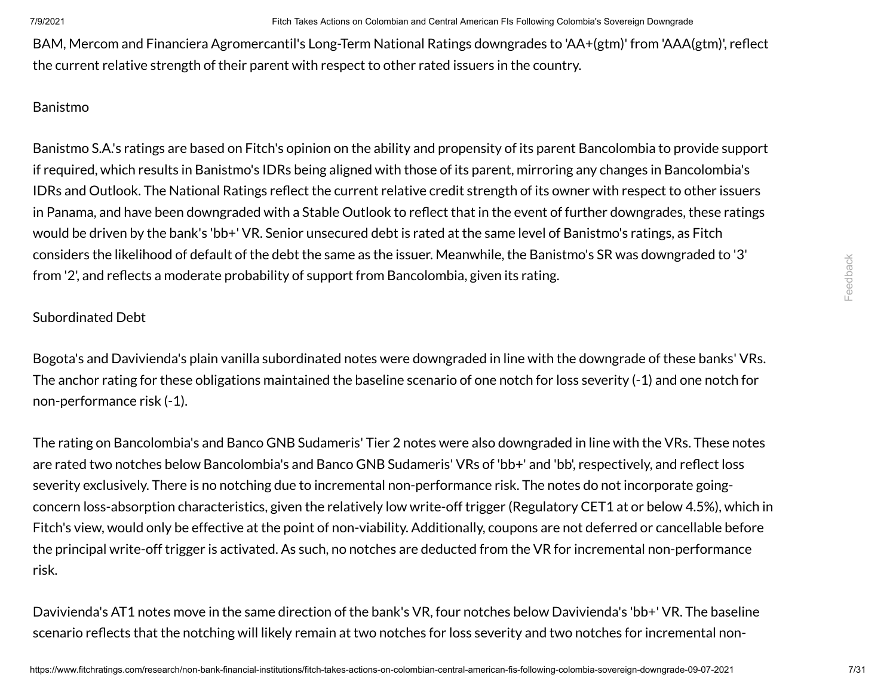BAM, Mercom and Financiera Agromercantil's Long-Term National Ratings downgrades to 'AA+(gtm)' from 'AAA(gtm)', reflect the current relative strength of their parent with respect to other rated issuers in the country.

#### Banistmo

Banistmo S.A.'s ratings are based on Fitch's opinion on the ability and propensity of its parent Bancolombia to provide support if required, which results in Banistmo's IDRs being aligned with those of its parent, mirroring any changes in Bancolombia's IDRs and Outlook. The National Ratings reflect the current relative credit strength of its owner with respect to other issuers in Panama, and have been downgraded with a Stable Outlook to reflect that in the event of further downgrades, these ratings would be driven by the bank's 'bb+' VR. Senior unsecured debt is rated at the same level of Banistmo's ratings, as Fitch considers the likelihood of default of the debt the same as the issuer. Meanwhile, the Banistmo's SR was downgraded to '3' from '2', and reflects a moderate probability of support from Bancolombia, given its rating.

#### Subordinated Debt

Bogota's and Davivienda's plain vanilla subordinated notes were downgraded in line with the downgrade of these banks' VRs. The anchor rating for these obligations maintained the baseline scenario of one notch for loss severity (-1) and one notch for non-performance risk (-1).

The rating on Bancolombia's and Banco GNB Sudameris' Tier 2 notes were also downgraded in line with the VRs. These notes are rated two notches below Bancolombia's and Banco GNB Sudameris' VRs of 'bb+' and 'bb', respectively, and reflect loss severity exclusively. There is no notching due to incremental non-performance risk. The notes do not incorporate goingconcern loss-absorption characteristics, given the relatively low write-off trigger (Regulatory CET1 at or below 4.5%), which in Fitch's view, would only be effective at the point of non-viability. Additionally, coupons are not deferred or cancellable before the principal write-off trigger is activated. As such, no notches are deducted from the VR for incremental non-performance risk. scheme that the notching will likely remain at but basine's the posterior welcomes the minimum at the comparison of these banks' VRs.<br>
Subordinated Debt<br>
Bogota's and Davivienda's plain vanilla subordinated notes were down

Davivienda's AT1 notes move in the same direction of the bank's VR, four notches below Davivienda's 'bb+' VR. The baseline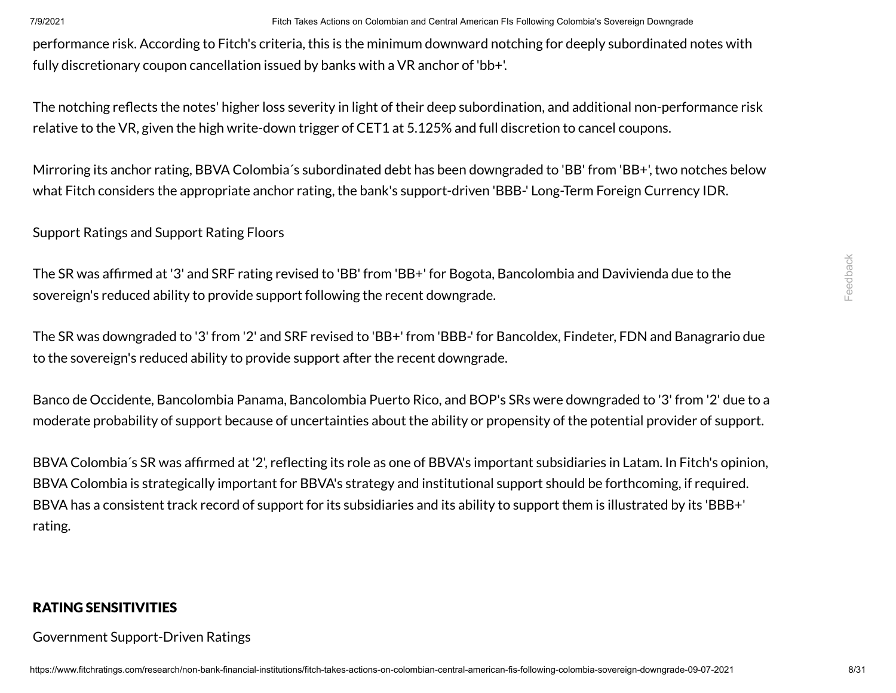performance risk. According to Fitch's criteria, this is the minimum downward notching for deeply subordinated notes with fully discretionary coupon cancellation issued by banks with a VR anchor of 'bb+'.

The notching reflects the notes' higher loss severity in light of their deep subordination, and additional non-performance risk relative to the VR, given the high write-down trigger of CET1 at 5.125% and full discretion to cancel coupons.

Mirroring its anchor rating, BBVA Colombia´s subordinated debt has been downgraded to 'BB' from 'BB+', two notches below what Fitch considers the appropriate anchor rating, the bank's support-driven 'BBB-' Long-Term Foreign Currency IDR.

Support Ratings and Support Rating Floors

The SR was affirmed at '3' and SRF rating revised to 'BB' from 'BB+' for Bogota, Bancolombia and Davivienda due to the sovereign's reduced ability to provide support following the recent downgrade.

The SR was downgraded to '3' from '2' and SRF revised to 'BB+' from 'BBB-' for Bancoldex, Findeter, FDN and Banagrario due to the sovereign's reduced ability to provide support after the recent downgrade.

Banco de Occidente, Bancolombia Panama, Bancolombia Puerto Rico, and BOP's SRs were downgraded to '3' from '2' due to a moderate probability of support because of uncertainties about the ability or propensity of the potential provider of support.

BBVA Colombia´s SR was affirmed at '2', reflecting its role as one of BBVA's important subsidiaries in Latam. In Fitch's opinion, BBVA Colombia is strategically important for BBVA's strategy and institutional support should be forthcoming, if required. BBVA has a consistent track record of support for its subsidiaries and its ability to support them is illustrated by its 'BBB+' rating. The SR was affirmed at "3" and SRF rating revised to "BB" from "BB+" for Bogota, Bancolombia and Davivienda due to the<br>sovereign's reduced ability to provide support following the recent downgrade.<br>The SR was downgraded to

#### RATING SENSITIVITIES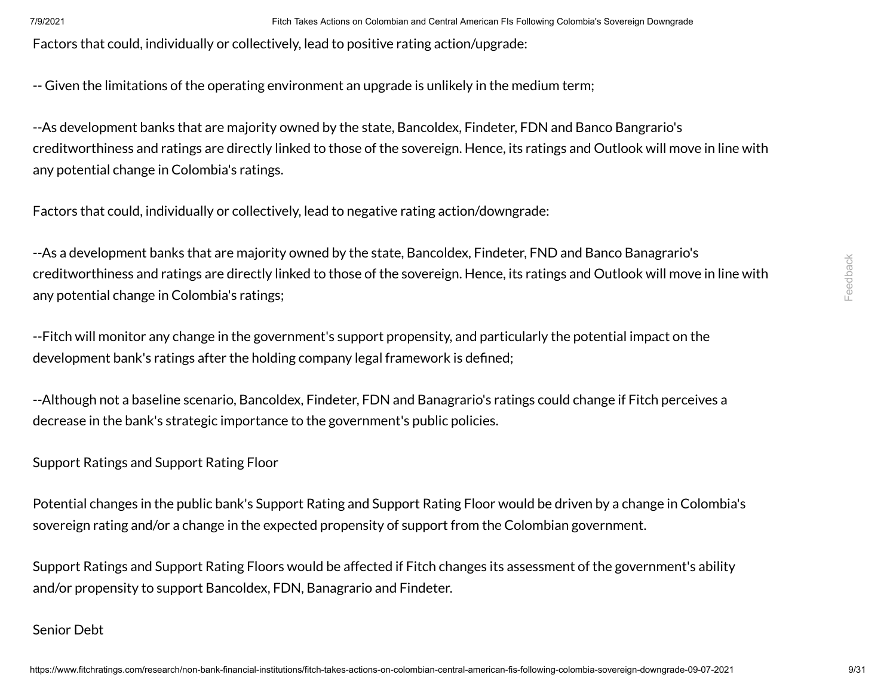Factors that could, individually or collectively, lead to positive rating action/upgrade:

-- Given the limitations of the operating environment an upgrade is unlikely in the medium term;

--As development banks that are majority owned by the state, Bancoldex, Findeter, FDN and Banco Bangrario's creditworthiness and ratings are directly linked to those of the sovereign. Hence, its ratings and Outlook will move in line with any potential change in Colombia's ratings.

Factors that could, individually or collectively, lead to negative rating action/downgrade:

--As a development banks that are majority owned by the state, Bancoldex, Findeter, FND and Banco Banagrario's creditworthiness and ratings are directly linked to those of the sovereign. Hence, its ratings and Outlook will move in line with any potential change in Colombia's ratings; As a decrease in the bank's stare in may when the stare, because, there is, two and bando bands will move in line with<br>any potential change in Colombia's ratings;<br>Although motion any change in the government's support prop

--Fitch will monitor any change in the government's support propensity, and particularly the potential impact on the development bank's ratings after the holding company legal framework is defined;

--Although not a baseline scenario, Bancoldex, Findeter, FDN and Banagrario's ratings could change if Fitch perceives a decrease in the bank's strategic importance to the government's public policies.

Support Ratings and Support Rating Floor

Potential changes in the public bank's Support Rating and Support Rating Floor would be driven by a change in Colombia's sovereign rating and/or a change in the expected propensity of support from the Colombian government.

Support Ratings and Support Rating Floors would be affected if Fitch changes its assessment of the government's ability and/or propensity to support Bancoldex, FDN, Banagrario and Findeter.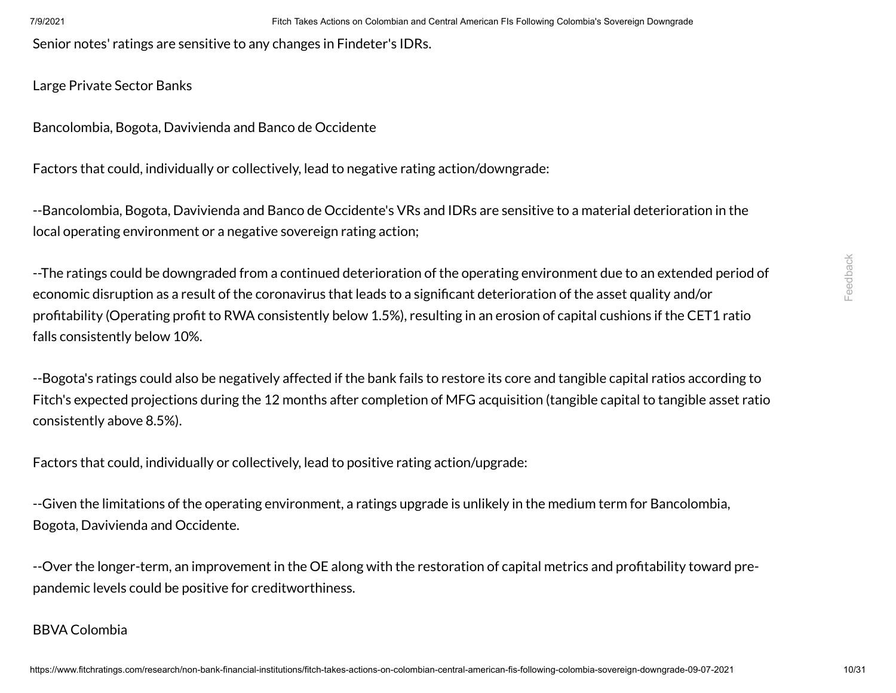Senior notes' ratings are sensitive to any changes in Findeter's IDRs.

Large Private Sector Banks

Bancolombia, Bogota, Davivienda and Banco de Occidente

Factors that could, individually or collectively, lead to negative rating action/downgrade:

--Bancolombia, Bogota, Davivienda and Banco de Occidente's VRs and IDRs are sensitive to a material deterioration in the local operating environment or a negative sovereign rating action;

--The ratings could be downgraded from a continued deterioration of the operating environment due to an extended period of economic disruption as a result of the coronavirus that leads to a significant deterioration of the asset quality and/or profitability (Operating profit to RWA consistently below 1.5%), resulting in an erosion of capital cushions if the CET1 ratio falls consistently below 10%. -The ratings could be downgraded from a continued deterioration of the operating environment due to an extended period of<br>
economic disruption as a result of the coronavirus that leads to a significant deterioration of th

--Bogota's ratings could also be negatively affected if the bank fails to restore its core and tangible capital ratios according to Fitch's expected projections during the 12 months after completion of MFG acquisition (tangible capital to tangible asset ratio consistently above 8.5%).

Factors that could, individually or collectively, lead to positive rating action/upgrade:

--Given the limitations of the operating environment, a ratings upgrade is unlikely in the medium term for Bancolombia, Bogota, Davivienda and Occidente.

--Over the longer-term, an improvement in the OE along with the restoration of capital metrics and profitability toward prepandemic levels could be positive for creditworthiness.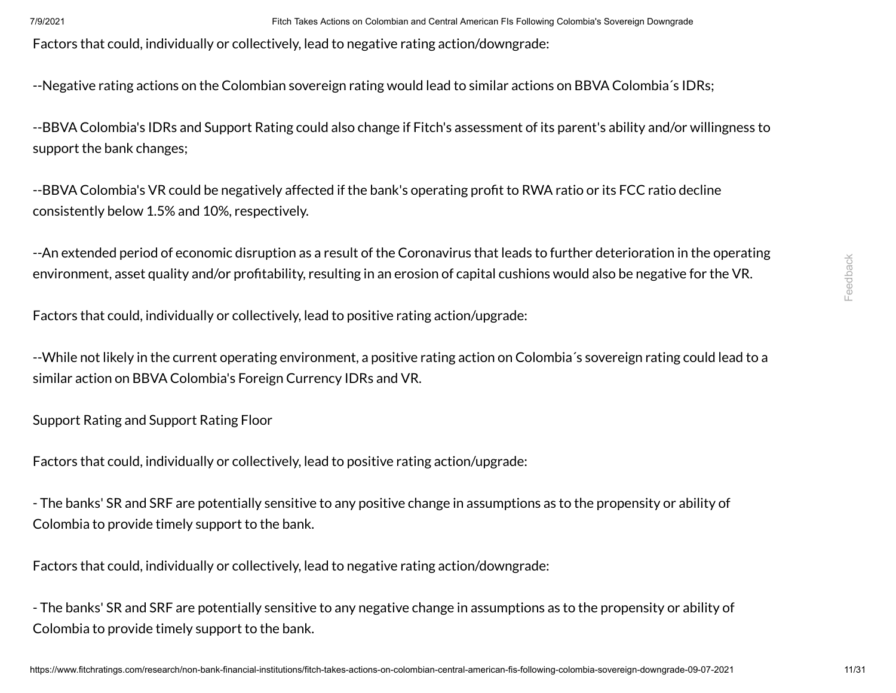Factors that could, individually or collectively, lead to negative rating action/downgrade:

--Negative rating actions on the Colombian sovereign rating would lead to similar actions on BBVA Colombia´s IDRs;

--BBVA Colombia's IDRs and Support Rating could also change if Fitch's assessment of its parent's ability and/or willingness to support the bank changes;

--BBVA Colombia's VR could be negatively affected if the bank's operating profit to RWA ratio or its FCC ratio decline consistently below 1.5% and 10%, respectively.

--An extended period of economic disruption as a result of the Coronavirus that leads to further deterioration in the operating environment, asset quality and/or profitability, resulting in an erosion of capital cushions would also be negative for the VR.

Factors that could, individually or collectively, lead to positive rating action/upgrade:

--While not likely in the current operating environment, a positive rating action on Colombia´s sovereign rating could lead to a similar action on BBVA Colombia's Foreign Currency IDRs and VR. An excellence persoarbe continue tassed quality and/or profitability, resulting in an erosion of capital cushions would also be negative for the VR.<br>
Factors that could, individually or collectively, lead to positive ratin

Support Rating and Support Rating Floor

Factors that could, individually or collectively, lead to positive rating action/upgrade:

- The banks' SR and SRF are potentially sensitive to any positive change in assumptions as to the propensity or ability of Colombia to provide timely support to the bank.

Factors that could, individually or collectively, lead to negative rating action/downgrade:

- The banks' SR and SRF are potentially sensitive to any negative change in assumptions as to the propensity or ability of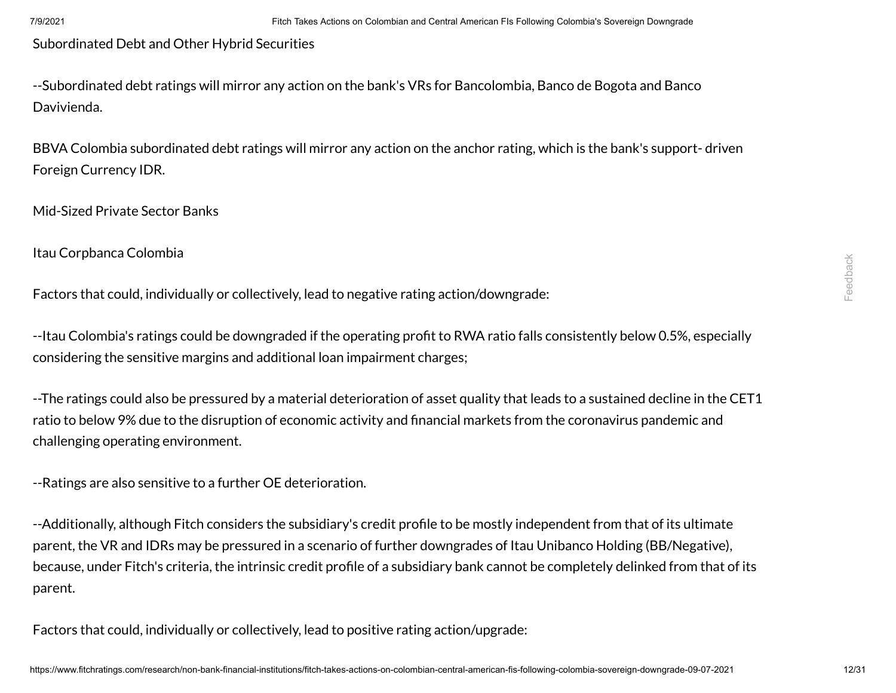Subordinated Debt and Other Hybrid Securities

--Subordinated debt ratings will mirror any action on the bank's VRs for Bancolombia, Banco de Bogota and Banco Davivienda.

BBVA Colombia subordinated debt ratings will mirror any action on the anchor rating, which is the bank's support- driven Foreign Currency IDR.

Mid-Sized Private Sector Banks

Itau Corpbanca Colombia

Factors that could, individually or collectively, lead to negative rating action/downgrade:

--Itau Colombia's ratings could be downgraded if the operating profit to RWA ratio falls consistently below 0.5%, especially considering the sensitive margins and additional loan impairment charges;

--The ratings could also be pressured by a material deterioration of asset quality that leads to a sustained decline in the CET1 ratio to below 9% due to the disruption of economic activity and financial markets from the coronavirus pandemic and challenging operating environment.

--Ratings are also sensitive to a further OE deterioration.

--Additionally, although Fitch considers the subsidiary's credit profile to be mostly independent from that of its ultimate parent, the VR and IDRs may be pressured in a scenario of further downgrades of Itau Unibanco Holding (BB/Negative), because, under Fitch's criteria, the intrinsic credit profile of a subsidiary bank cannot be completely delinked from that of its parent. Factors that could, individually or collectively, lead to negative rating action/downgrade:<br>
--Itau Colombia's ratings could be downgraded if the operating profit to RWA ratio falls consistently below 0.5%, especially<br>
--I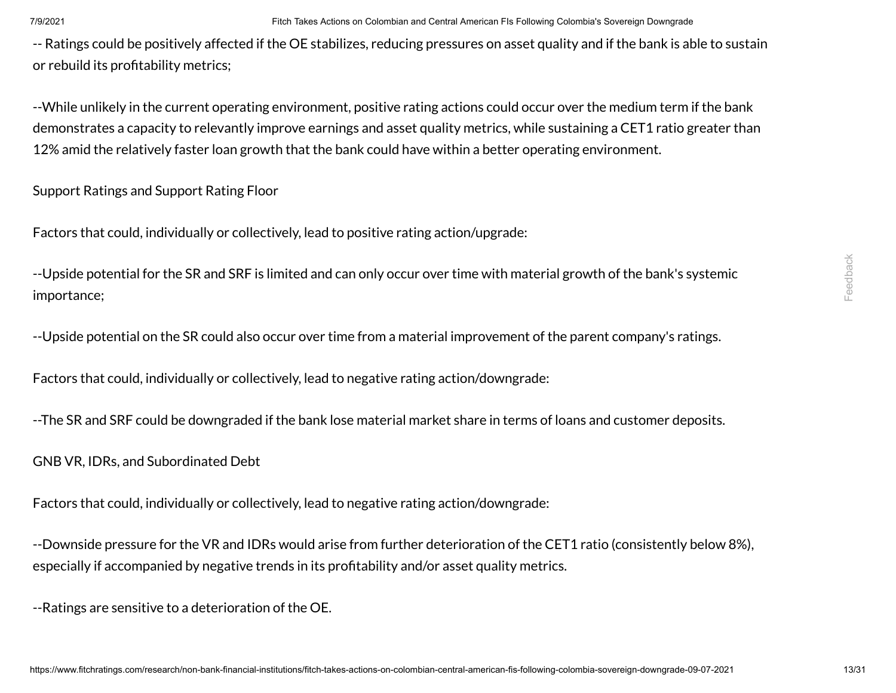-- Ratings could be positively affected if the OE stabilizes, reducing pressures on asset quality and if the bank is able to sustain or rebuild its profitability metrics;

--While unlikely in the current operating environment, positive rating actions could occur over the medium term if the bank demonstrates a capacity to relevantly improve earnings and asset quality metrics, while sustaining a CET1 ratio greater than 12% amid the relatively faster loan growth that the bank could have within a better operating environment.

Support Ratings and Support Rating Floor

Factors that could, individually or collectively, lead to positive rating action/upgrade:

--Upside potential for the SR and SRF is limited and can only occur over time with material growth of the bank's systemic importance; --Upside potential for the SR and SRF is limited and can only occur over time with material growth of the bank's systemic<br>importance;<br>--Upside potential on the SR could also occur over time from a material improvement of t

--Upside potential on the SR could also occur over time from a material improvement of the parent company's ratings.

Factors that could, individually or collectively, lead to negative rating action/downgrade:

--The SR and SRF could be downgraded if the bank lose material market share in terms of loans and customer deposits.

GNB VR, IDRs, and Subordinated Debt

Factors that could, individually or collectively, lead to negative rating action/downgrade:

--Downside pressure for the VR and IDRs would arise from further deterioration of the CET1 ratio (consistently below 8%), especially if accompanied by negative trends in its profitability and/or asset quality metrics.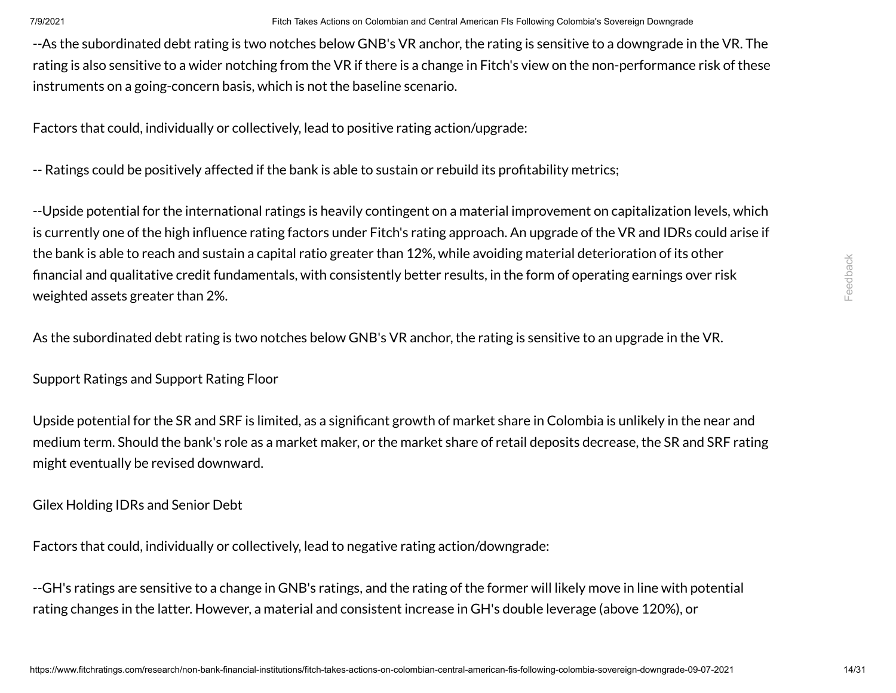--As the subordinated debt rating is two notches below GNB's VR anchor, the rating is sensitive to a downgrade in the VR. The rating is also sensitive to a wider notching from the VR if there is a change in Fitch's view on the non-performance risk of these instruments on a going-concern basis, which is not the baseline scenario.

Factors that could, individually or collectively, lead to positive rating action/upgrade:

-- Ratings could be positively affected if the bank is able to sustain or rebuild its profitability metrics;

--Upside potential for the international ratings is heavily contingent on a material improvement on capitalization levels, which is currently one of the high influence rating factors under Fitch's rating approach. An upgrade of the VR and IDRs could arise if the bank is able to reach and sustain a capital ratio greater than 12%, while avoiding material deterioration of its other financial and qualitative credit fundamentals, with consistently better results, in the form of operating earnings over risk weighted assets greater than 2%.

As the subordinated debt rating is two notches below GNB's VR anchor, the rating is sensitive to an upgrade in the VR.

Support Ratings and Support Rating Floor

Upside potential for the SR and SRF is limited, as a significant growth of market share in Colombia is unlikely in the near and medium term. Should the bank's role as a market maker, or the market share of retail deposits decrease, the SR and SRF rating might eventually be revised downward. rice dank is aller to reach and sustain a capital and consistently better results, in the form of operating earnings over risk<br>twisted assets greater than 2%.<br>Weighted assets greater than 2%.<br>As the subordinated debt ratin

Gilex Holding IDRs and Senior Debt

Factors that could, individually or collectively, lead to negative rating action/downgrade:

--GH's ratings are sensitive to a change in GNB's ratings, and the rating of the former will likely move in line with potential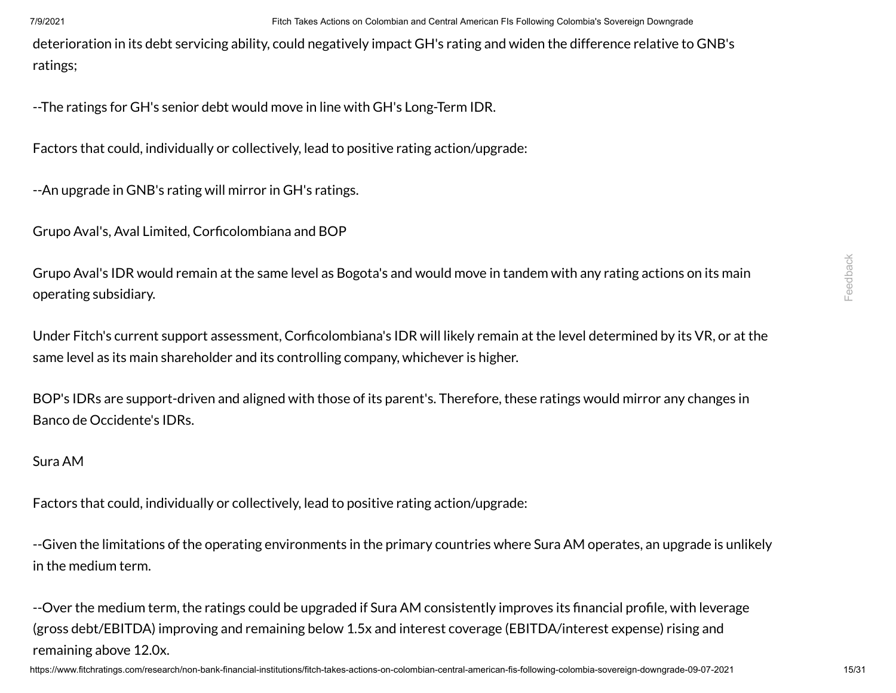deterioration in its debt servicing ability, could negatively impact GH's rating and widen the difference relative to GNB's ratings;

--The ratings for GH's senior debt would move in line with GH's Long-Term IDR.

Factors that could, individually or collectively, lead to positive rating action/upgrade:

--An upgrade in GNB's rating will mirror in GH's ratings.

Grupo Aval's, Aval Limited, Corficolombiana and BOP

Grupo Aval's IDR would remain at the same level as Bogota's and would move in tandem with any rating actions on its main operating subsidiary.

Under Fitch's current support assessment, Corficolombiana's IDR will likely remain at the level determined by its VR, or at the same level as its main shareholder and its controlling company, whichever is higher.

BOP's IDRs are support-driven and aligned with those of its parent's. Therefore, these ratings would mirror any changes in Banco de Occidente's IDRs.

#### Sura AM

Factors that could, individually or collectively, lead to positive rating action/upgrade:

--Given the limitations of the operating environments in the primary countries where Sura AM operates, an upgrade is unlikely in the medium term.

--Over the medium term, the ratings could be upgraded if Sura AM consistently improves its financial profile, with leverage (gross debt/EBITDA) improving and remaining below 1.5x and interest coverage (EBITDA/interest expense) rising and Grupo Aval's IDR would remain at the same level as Bogota's and would move in tandem with any rating actions on its main<br>operating subsidiary.<br>Under Fitch's current support assessment, Corficolombiana's IDR will likely rem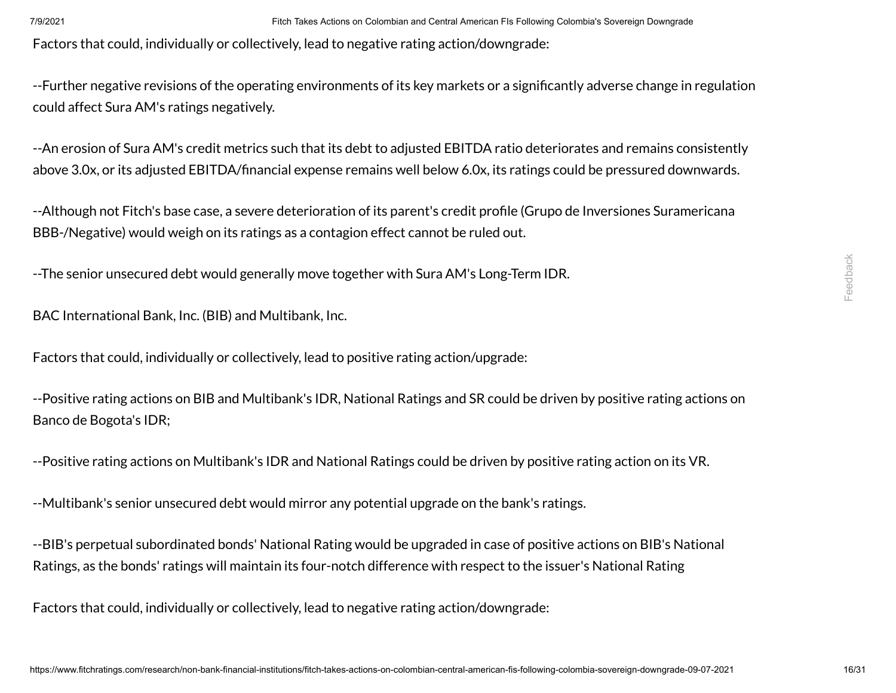Factors that could, individually or collectively, lead to negative rating action/downgrade:

--Further negative revisions of the operating environments of its key markets or a significantly adverse change in regulation could affect Sura AM's ratings negatively.

--An erosion of Sura AM's credit metrics such that its debt to adjusted EBITDA ratio deteriorates and remains consistently above 3.0x, or its adjusted EBITDA/financial expense remains well below 6.0x, its ratings could be pressured downwards.

--Although not Fitch's base case, a severe deterioration of its parent's credit profile (Grupo de Inversiones Suramericana BBB-/Negative) would weigh on its ratings as a contagion effect cannot be ruled out.

--The senior unsecured debt would generally move together with Sura AM's Long-Term IDR.

BAC International Bank, Inc. (BIB) and Multibank, Inc.

Factors that could, individually or collectively, lead to positive rating action/upgrade:

--Positive rating actions on BIB and Multibank's IDR, National Ratings and SR could be driven by positive rating actions on Banco de Bogota's IDR; --The senior unsecured debt would generally move together with Sura AM's Long-Term IDR.<br>
BAC International Bank, Inc. (BIB) and Multibank, Inc.<br>
Factors that could, individually or collectively, lead to positive rating act

--Positive rating actions on Multibank's IDR and National Ratings could be driven by positive rating action on its VR.

--Multibank's senior unsecured debt would mirror any potential upgrade on the bank's ratings.

--BIB's perpetual subordinated bonds' National Rating would be upgraded in case of positive actions on BIB's National Ratings, as the bonds' ratings will maintain its four-notch difference with respect to the issuer's National Rating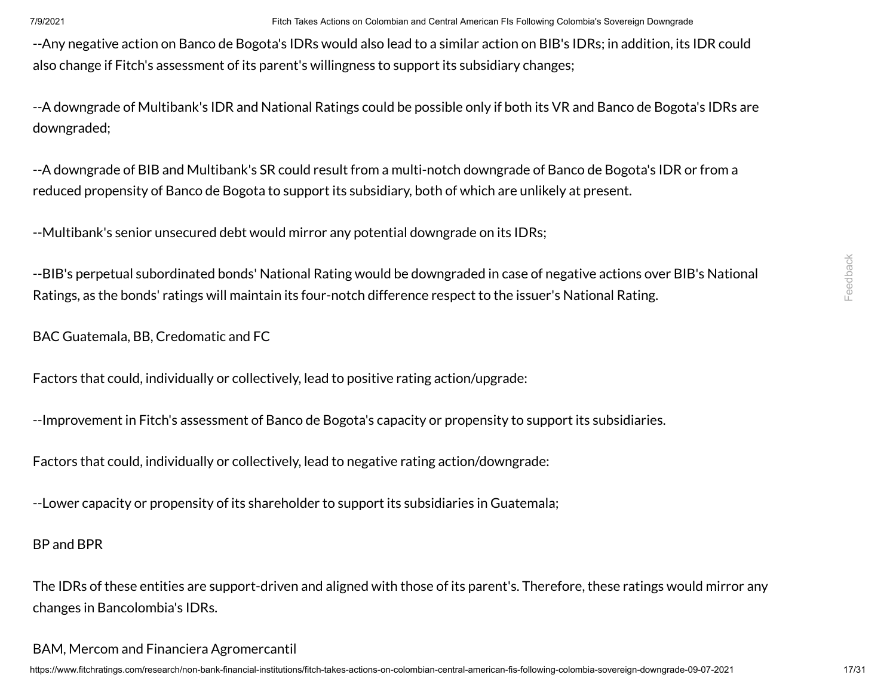--Any negative action on Banco de Bogota's IDRs would also lead to a similar action on BIB's IDRs; in addition, its IDR could also change if Fitch's assessment of its parent's willingness to support its subsidiary changes;

--A downgrade of Multibank's IDR and National Ratings could be possible only if both its VR and Banco de Bogota's IDRs are downgraded;

--A downgrade of BIB and Multibank's SR could result from a multi-notch downgrade of Banco de Bogota's IDR or from a reduced propensity of Banco de Bogota to support its subsidiary, both of which are unlikely at present.

--Multibank's senior unsecured debt would mirror any potential downgrade on its IDRs;

--BIB's perpetual subordinated bonds' National Rating would be downgraded in case of negative actions over BIB's National Ratings, as the bonds' ratings will maintain its four-notch difference respect to the issuer's National Rating.

BAC Guatemala, BB, Credomatic and FC

Factors that could, individually or collectively, lead to positive rating action/upgrade:

--Improvement in Fitch's assessment of Banco de Bogota's capacity or propensity to support its subsidiaries.

Factors that could, individually or collectively, lead to negative rating action/downgrade:

--Lower capacity or propensity of its shareholder to support its subsidiaries in Guatemala;

BP and BPR

The IDRs of these entities are support-driven and aligned with those of its parent's. Therefore, these ratings would mirror any changes in Bancolombia's IDRs. --BIB's perpetual subordinated bonds' National Rating would be downgraded in case of negative actions over BIB's National<br>Ratings, as the bonds' ratings will maintain its four-notch difference respect to the issuer's Natio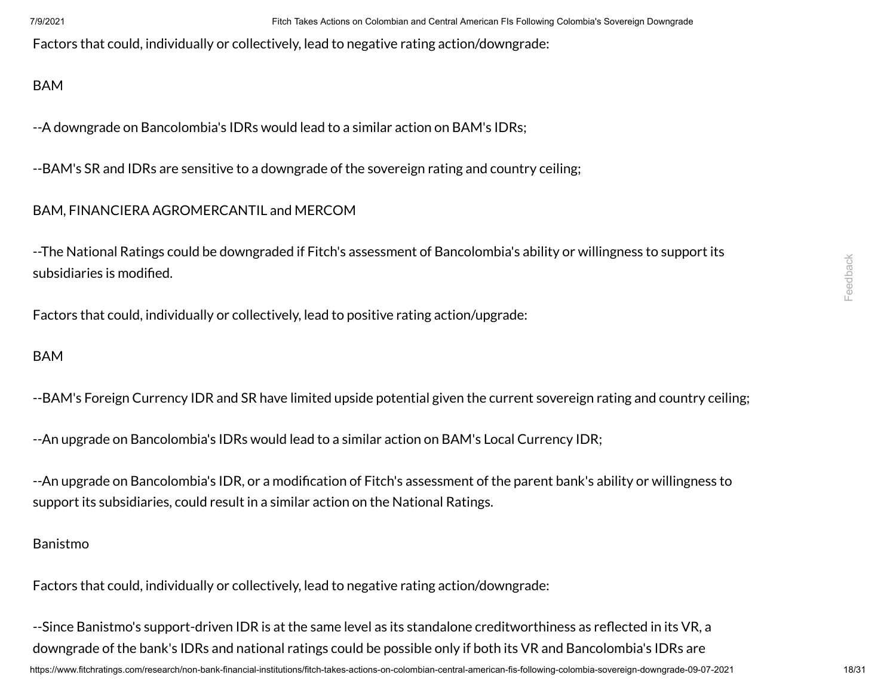Factors that could, individually or collectively, lead to negative rating action/downgrade:

BAM

--A downgrade on Bancolombia's IDRs would lead to a similar action on BAM's IDRs;

--BAM's SR and IDRs are sensitive to a downgrade of the sovereign rating and country ceiling;

## BAM, FINANCIERA AGROMERCANTIL and MERCOM

--The National Ratings could be downgraded if Fitch's assessment of Bancolombia's ability or willingness to support its subsidiaries is modified.

Factors that could, individually or collectively, lead to positive rating action/upgrade:

#### BAM

--BAM's Foreign Currency IDR and SR have limited upside potential given the current sovereign rating and country ceiling;

--An upgrade on Bancolombia's IDRs would lead to a similar action on BAM's Local Currency IDR;

--An upgrade on Bancolombia's IDR, or a modification of Fitch's assessment of the parent bank's ability or willingness to support its subsidiaries, could result in a similar action on the National Ratings. Me ructionar nating could be coming lated in the histossament of banksommed staining of winning insists of supporting<br>Eactors that could, individually or collectively, lead to positive rating action/upgrade:<br>-BAM's Foreign

#### Banistmo

Factors that could, individually or collectively, lead to negative rating action/downgrade:

https://www.fitchratings.com/research/non-bank-financial-institutions/fitch-takes-actions-on-colombian-central-american-fis-following-colombia-sovereign-downgrade-09-07-2021 18/31 --Since Banistmo's support-driven IDR is at the same level as its standalone creditworthiness as reflected in its VR, a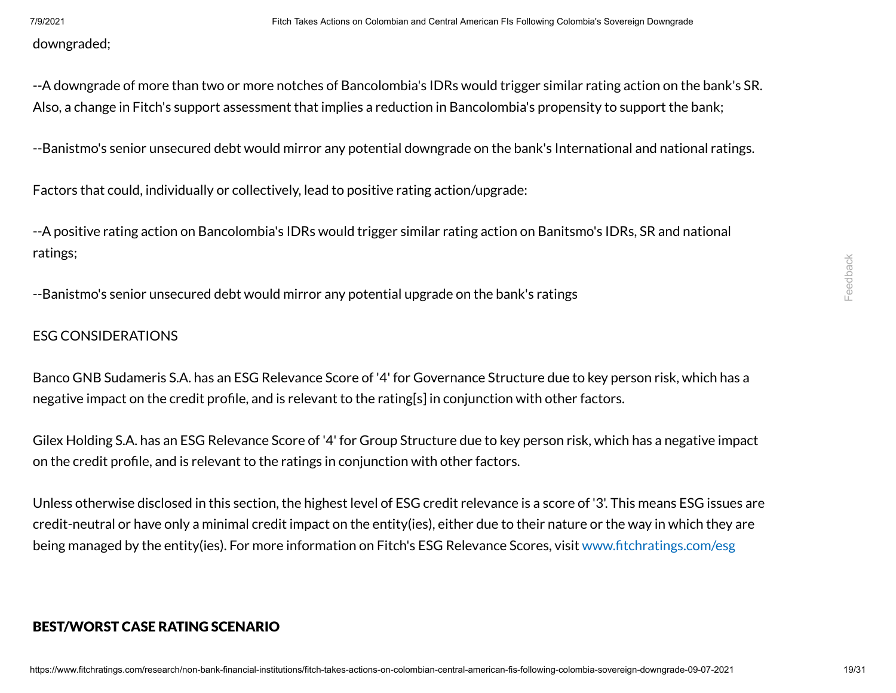downgraded;

--A downgrade of more than two or more notches of Bancolombia's IDRs would trigger similar rating action on the bank's SR. Also, a change in Fitch's support assessment that implies a reduction in Bancolombia's propensity to support the bank;

--Banistmo's senior unsecured debt would mirror any potential downgrade on the bank's International and national ratings.

Factors that could, individually or collectively, lead to positive rating action/upgrade:

--A positive rating action on Bancolombia's IDRs would trigger similar rating action on Banitsmo's IDRs, SR and national ratings;

--Banistmo's senior unsecured debt would mirror any potential upgrade on the bank's ratings

## ESG CONSIDERATIONS

Banco GNB Sudameris S.A. has an ESG Relevance Score of '4' for Governance Structure due to key person risk, which has a negative impact on the credit profile, and is relevant to the rating[s] in conjunction with other factors.

Gilex Holding S.A. has an ESG Relevance Score of '4' for Group Structure due to key person risk, which has a negative impact on the credit profile, and is relevant to the ratings in conjunction with other factors.

Unless otherwise disclosed in this section, the highest level of ESG credit relevance is a score of '3'. This means ESG issues are credit-neutral or have only a minimal credit impact on the entity(ies), either due to their nature or the way in which they are being managed by the entity(ies). For more information on Fitch's ESG Relevance Scores, visit [www.fitchratings.com/esg](http://www.fitchratings.com/esg) ratings,<br>-Banistmo's senior unsecured debt would mirror any potential upgrade on the bank's ratings<br>ESG CONSIDERATIONS<br>Banco GNB Sudameris S.A. has an ESG Relevance Score of '4' for Governance Structure due to key person r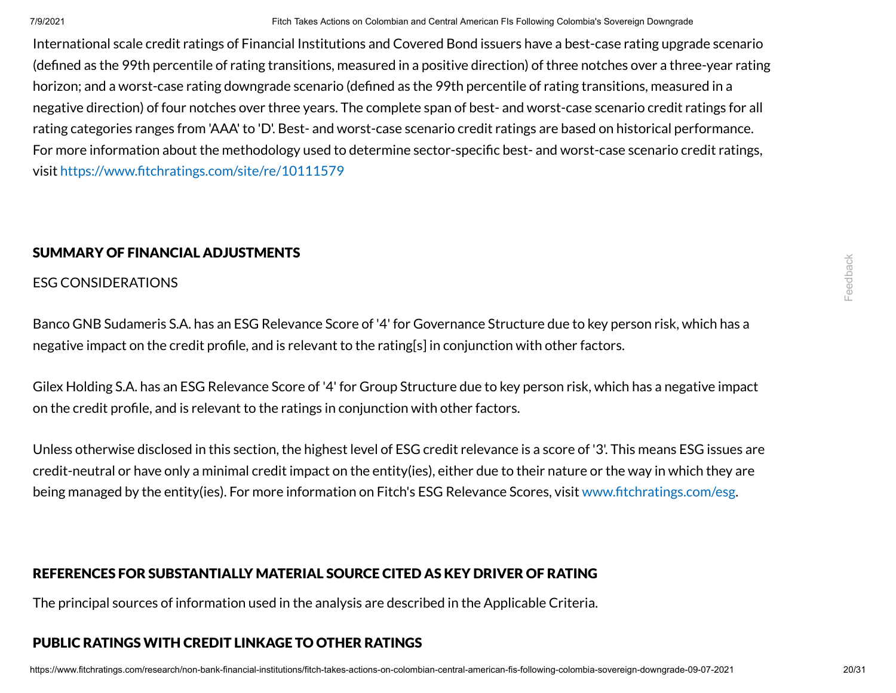International scale credit ratings of Financial Institutions and Covered Bond issuers have a best-case rating upgrade scenario (defined as the 99th percentile of rating transitions, measured in a positive direction) of three notches over a three-year rating horizon; and a worst-case rating downgrade scenario (defined as the 99th percentile of rating transitions, measured in a negative direction) of four notches over three years. The complete span of best- and worst-case scenario credit ratings for all rating categories ranges from 'AAA' to 'D'. Best- and worst-case scenario credit ratings are based on historical performance. For more information about the methodology used to determine sector-specific best- and worst-case scenario credit ratings, visit <https://www.fitchratings.com/site/re/10111579>

#### SUMMARY OF FINANCIAL ADJUSTMENTS

#### ESG CONSIDERATIONS

Banco GNB Sudameris S.A. has an ESG Relevance Score of '4' for Governance Structure due to key person risk, which has a negative impact on the credit profile, and is relevant to the rating[s] in conjunction with other factors.

Gilex Holding S.A. has an ESG Relevance Score of '4' for Group Structure due to key person risk, which has a negative impact on the credit profile, and is relevant to the ratings in conjunction with other factors.

Unless otherwise disclosed in this section, the highest level of ESG credit relevance is a score of '3'. This means ESG issues are credit-neutral or have only a minimal credit impact on the entity(ies), either due to their nature or the way in which they are being managed by the entity(ies). For more information on Fitch's ESG Relevance Scores, visit [www.fitchratings.com/esg](http://www.fitchratings.com/esg). SEG CONSIDERATIONS<br>
Banco GNB Sudameris S.A. has an ESG Relevance Score of '4' for Governance Structure due to key person risk, which has a<br>
megative impact on the credit profile, and is relevant to the rating[s] in conjun

## REFERENCES FOR SUBSTANTIALLY MATERIAL SOURCE CITED AS KEY DRIVER OF RATING

The principal sources of information used in the analysis are described in the Applicable Criteria.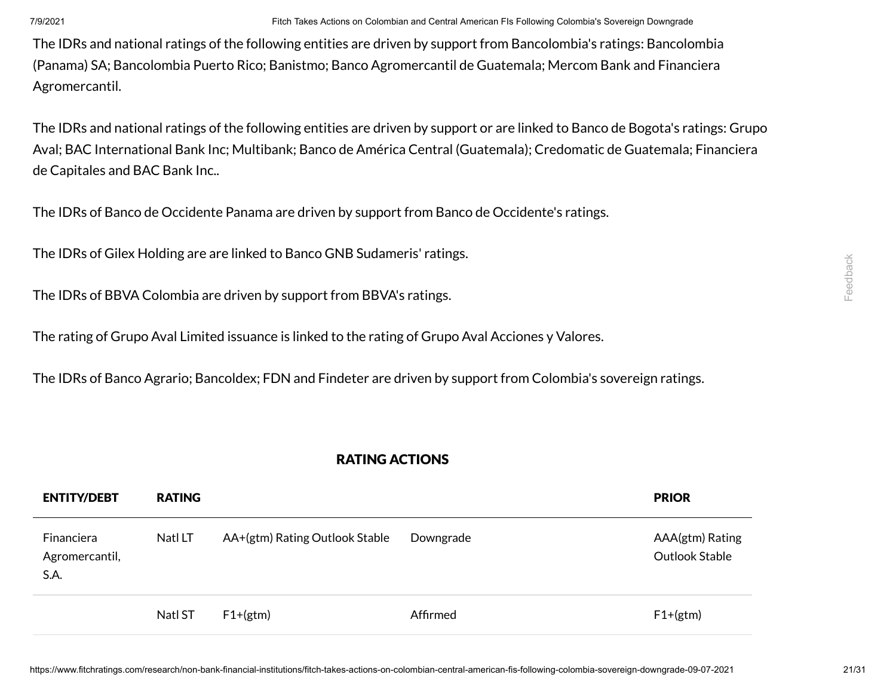The IDRs and national ratings of the following entities are driven by support from Bancolombia's ratings: Bancolombia (Panama) SA; Bancolombia Puerto Rico; Banistmo; Banco Agromercantil de Guatemala; Mercom Bank and Financiera Agromercantil.

The IDRs and national ratings of the following entities are driven by support or are linked to Banco de Bogota's ratings: Grupo Aval; BAC International Bank Inc; Multibank; Banco de América Central (Guatemala); Credomatic de Guatemala; Financiera de Capitales and BAC Bank Inc..

The IDRs of Banco de Occidente Panama are driven by support from Banco de Occidente's ratings.

The IDRs of Gilex Holding are are linked to Banco GNB Sudameris' ratings.

The IDRs of BBVA Colombia are driven by support from BBVA's ratings.

The rating of Grupo Aval Limited issuance is linked to the rating of Grupo Aval Acciones y Valores.

The IDRs of Banco Agrario; Bancoldex; FDN and Findeter are driven by support from Colombia's sovereign ratings.

#### RATING ACTIONS

| <b>ENTITY/DEBT</b>                   | <b>RATING</b> | <b>PRIOR</b>                   |           |                                          |
|--------------------------------------|---------------|--------------------------------|-----------|------------------------------------------|
| Financiera<br>Agromercantil,<br>S.A. | Natl LT       | AA+(gtm) Rating Outlook Stable | Downgrade | AAA(gtm) Rating<br><b>Outlook Stable</b> |
|                                      | Natl ST       | $F1+(gtm)$                     | Affirmed  | $F1+(gtm)$                               |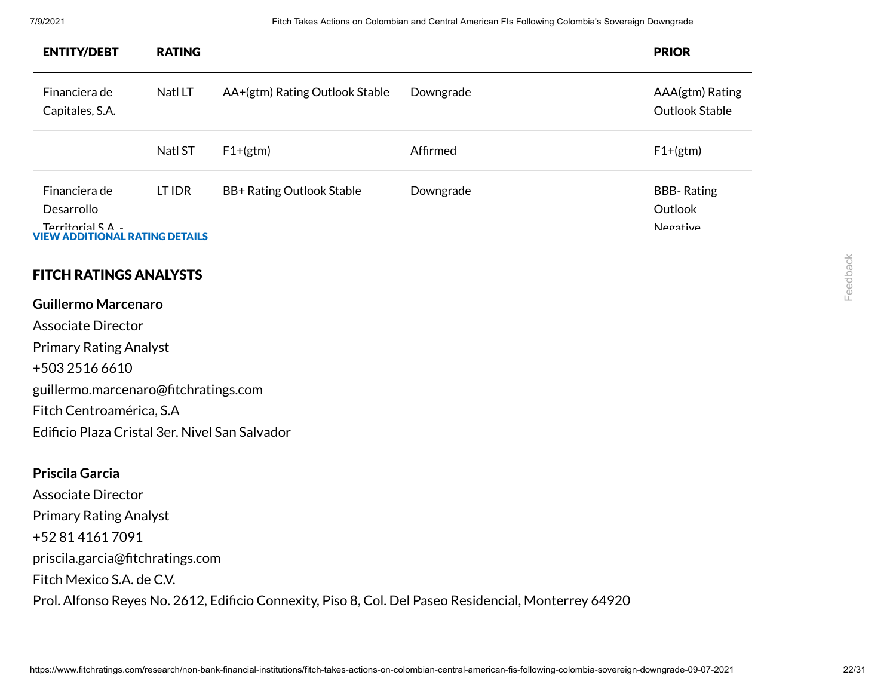7/9/2021 Fitch Takes Actions on Colombian and Central American FIs Following Colombia's Sovereign Downgrade

| <b>ENTITY/DEBT</b>                                                                         | <b>RATING</b> |                                |           | <b>PRIOR</b>                                    |
|--------------------------------------------------------------------------------------------|---------------|--------------------------------|-----------|-------------------------------------------------|
| Financiera de<br>Capitales, S.A.                                                           | Natl LT       | AA+(gtm) Rating Outlook Stable | Downgrade | AAA(gtm) Rating<br>Outlook Stable               |
|                                                                                            | Natl ST       | $F1+(gtm)$                     | Affirmed  | $F1+(gtm)$                                      |
| Financiera de<br>Desarrollo<br>$Territorial SA$ .<br><b>VIEW ADDITIONAL RATING DETAILS</b> | LT IDR        | BB+ Rating Outlook Stable      | Downgrade | <b>BBB-Rating</b><br>Outlook<br><b>Negative</b> |

#### FITCH RATINGS ANALYSTS

**Guillermo Marcenaro** Associate Director Primary Rating Analyst +503 2516 6610 guillermo.marcenaro@fitchratings.com Fitch Centroamérica, S.A Edificio Plaza Cristal 3er. Nivel San Salvador

# **Priscila Garcia** Associate Director Primary Rating Analyst +52 81 4161 7091 priscila.garcia@fitchratings.com Fitch Mexico S.A. de C.V. Prol. Alfonso Reyes No. 2612, Edificio Connexity, Piso 8, Col. Del Paseo Residencial, Monterrey 64920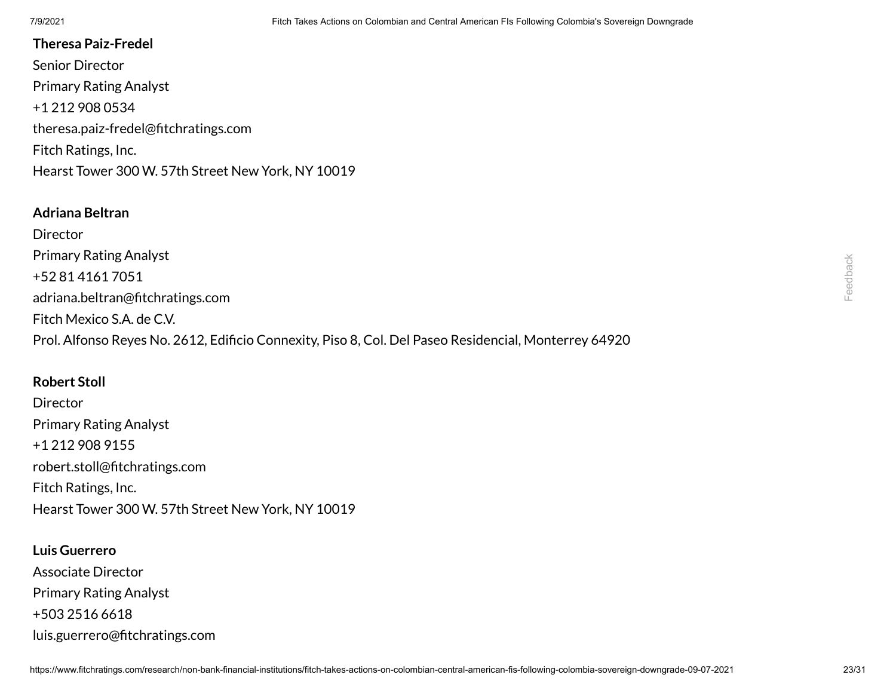#### **Theresa Paiz-Fredel**

Senior Director Primary Rating Analyst +1 212 908 0534 theresa.paiz-fredel@fitchratings.com Fitch Ratings, Inc. Hearst Tower 300 W. 57th Street New York, NY 10019

#### **Adriana Beltran**

**Director** Primary Rating Analyst +52 81 4161 7051 adriana.beltran@fitchratings.com Fitch Mexico S.A. de C.V. Prol. Alfonso Reyes No. 2612, Edificio Connexity, Piso 8, Col. Del Paseo Residencial, Monterrey 64920 rrinnary rating Mnayst<br>
r 52 81 4161 7051<br>
adriana.beltran@fitchratings.com<br>
Fitch Mexico S.A. de C.V.<br>
Prich Mexico S.A. de C.V.<br>
Prich Mexico S.A. de C.V.<br>
Director<br>
Fitch Mexico S.A. de C.V.<br>
Alforst Stoll@fitchratings.

#### **Robert Stoll**

**Director** Primary Rating Analyst +1 212 908 9155 robert.stoll@fitchratings.com Fitch Ratings, Inc. Hearst Tower 300 W. 57th Street New York, NY 10019

# **Luis Guerrero**

Associate Director Primary Rating Analyst +503 2516 6618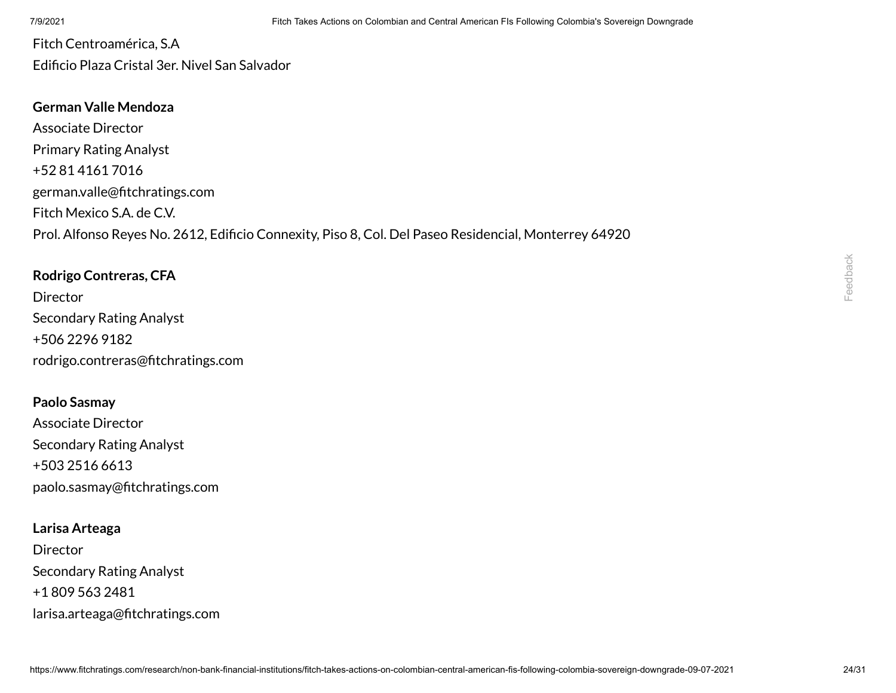Fitch Centroamérica, S.A Edificio Plaza Cristal 3er. Nivel San Salvador

#### **German Valle Mendoza**

Associate Director Primary Rating Analyst +52 81 4161 7016 german.valle@fitchratings.com Fitch Mexico S.A. de C.V. Prol. Alfonso Reyes No. 2612, Edificio Connexity, Piso 8, Col. Del Paseo Residencial, Monterrey 64920

#### **Rodrigo Contreras, CFA**

| Rodrigo Contreras, CFA             | Feedback |
|------------------------------------|----------|
| Director                           |          |
| <b>Secondary Rating Analyst</b>    |          |
| +506 2296 9182                     |          |
| rodrigo.contreras@fitchratings.com |          |
| Paolo Sasmay                       |          |
| <b>Associate Director</b>          |          |
| <b>Secondary Rating Analyst</b>    |          |
| +503 2516 6613                     |          |
| paolo.sasmay@fitchratings.com      |          |
| Larisa Arteaga                     |          |
| Director                           |          |
| <b>Secondary Rating Analyst</b>    |          |
| +18095632481                       |          |
| larisa.arteaga@fitchratings.com    |          |

#### **Paolo Sasmay**

#### **Larisa Arteaga**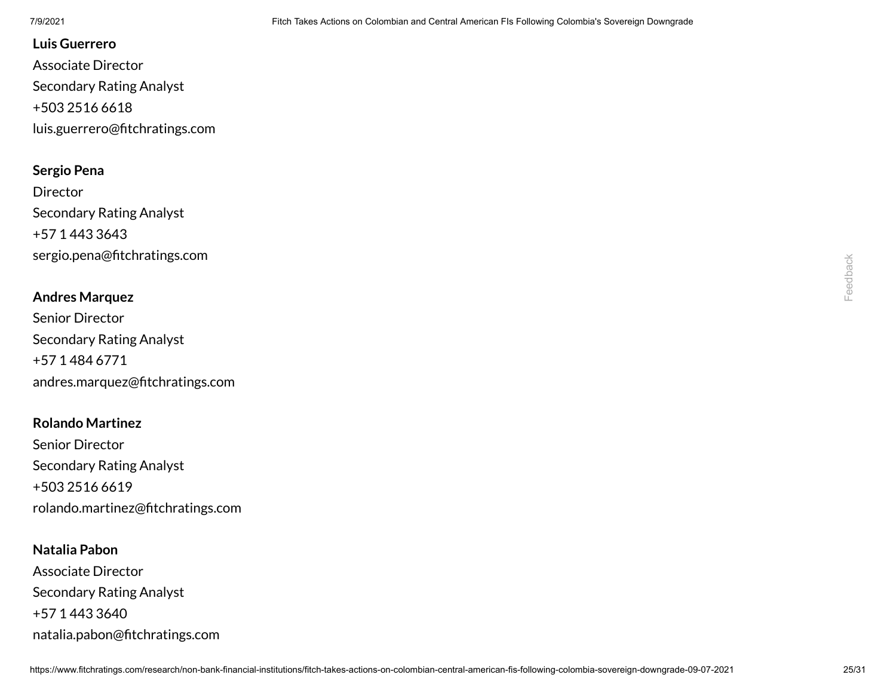#### **Luis Guerrero**

Associate Director Secondary Rating Analyst +503 2516 6618 luis.guerrero@fitchratings.com

#### **Sergio Pena**

Director Secondary Rating Analyst +57 1 443 3643 sergio.pena@fitchratings.com

# **Andres Marquez**

Senior Director Secondary Rating Analyst +57 1 484 6771 andres.marquez@fitchratings.com

#### **Rolando Martinez**

Senior Director Secondary Rating Analyst +503 2516 6619 rolando.martinez@fitchratings.com sergio.pena@fitchratings.com<br>Andres Marquez<br>Serior Director<br>Secondary Rating Analyst<br>1571 484 6771<br>andres.marquez@fitchratings.com<br>Rolando Martinez<br>Secondary Rating Analyst<br>1503 2516 6619<br>rolando.martinez@fitchratings.com<br>

# **Natalia Pabon**

Associate Director Secondary Rating Analyst +57 1 443 3640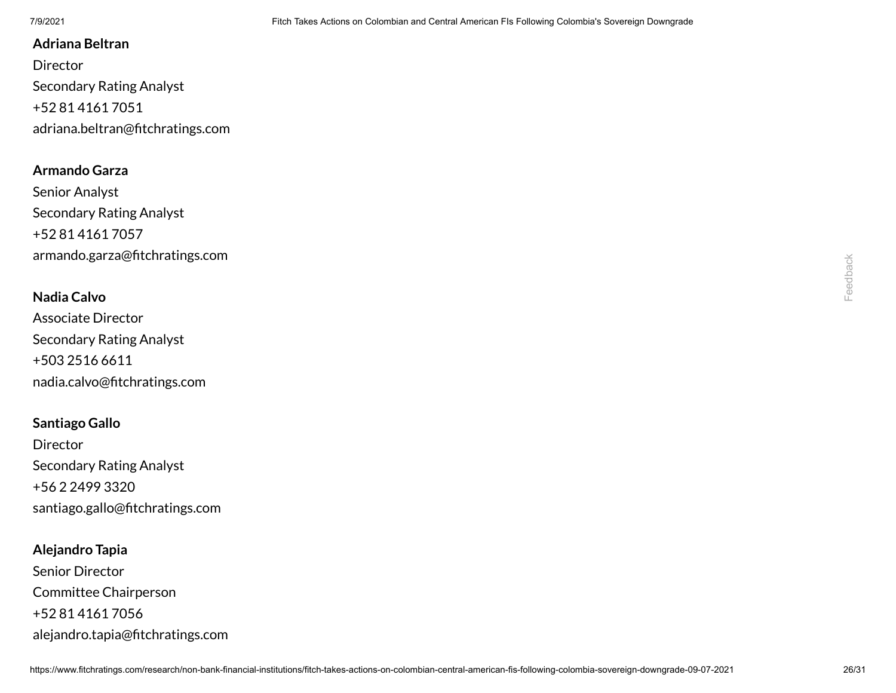#### **Adriana Beltran**

Director Secondary Rating Analyst +52 81 4161 7051 adriana.beltran@fitchratings.com

#### **Armando Garza**

Senior Analyst Secondary Rating Analyst +52 81 4161 7057 armando.garza@fitchratings.com

**Nadia Calvo** Associate Director Secondary Rating Analyst +503 2516 6611 nadia.calvo@fitchratings.com armanto.garzagmtchratings.com<br>Axadia Calvo<br>Associate Director<br>Secondary Rating Analyst<br>F-So 2516 6611<br>Santiago Gallo<br>Director<br>Secondary Rating Analyst<br>The Santiago Gallo<br>Santiago gallo@fitchratings.com<br>Alejandro.Tapia<br>Seni

#### **Santiago Gallo**

Director Secondary Rating Analyst +56 2 2499 3320 santiago.gallo@fitchratings.com

# **Alejandro Tapia**

Senior Director Committee Chairperson +52 81 4161 7056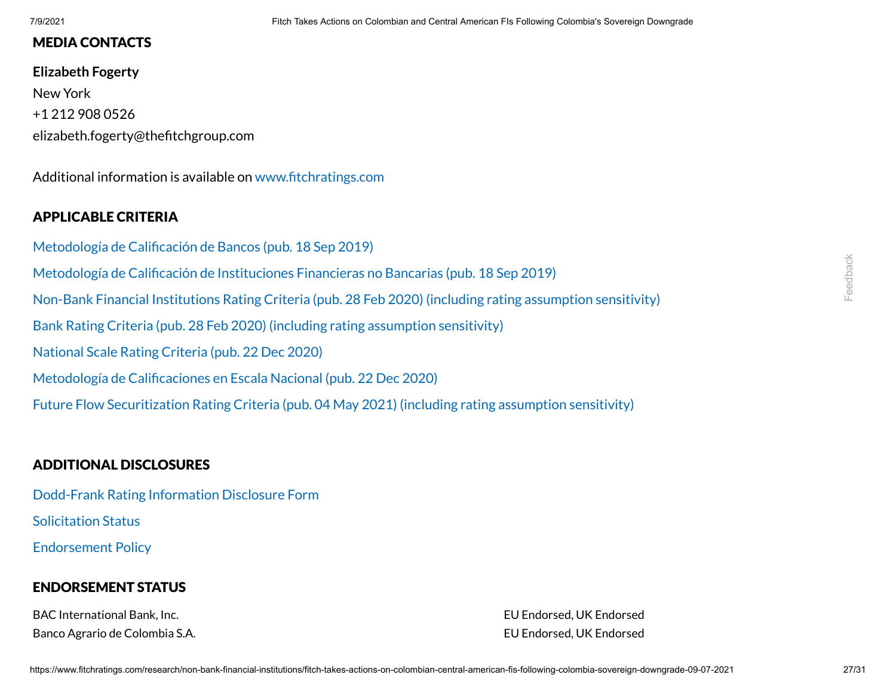#### MEDIA CONTACTS

**Elizabeth Fogerty** New York +1 212 908 0526 elizabeth.fogerty@thefitchgroup.com

Additional information is available on [www.fitchratings.com](http://www.fitchratings.com/)

## APPLICABLE CRITERIA

[Metodología](https://www.fitchratings.com/research/es/banks/bank-rating-criteria-18-09-2019) de Calificación de Bancos (pub. 18 Sep 2019) Metodología de Calificación de [Instituciones](https://www.fitchratings.com/research/es/corporate-finance/non-bank-financial-institutions-rating-criteria-18-09-2019) Financieras no Bancarias (pub. 18 Sep 2019) Non-Bank Financial Institutions Rating Criteria (pub. 28 Feb 2020) (including rating [assumption](https://www.fitchratings.com/research/non-bank-financial-institutions/non-bank-financial-institutions-rating-criteria-28-02-2020) sensitivity) Bank Rating Criteria (pub. 28 Feb 2020) (including rating [assumption](https://www.fitchratings.com/research/banks/bank-rating-criteria-28-02-2020) sensitivity) National Scale Rating Criteria (pub. 22 [Dec 2020\)](https://www.fitchratings.com/research/corporate-finance/national-scale-rating-criteria-22-12-2020) Metodología de [Calificaciones](https://www.fitchratings.com/research/es/corporate-finance/national-scale-rating-criteria-22-12-2020) en Escala Nacional (pub. 22 Dec 2020) Future Flow [Securitization](https://www.fitchratings.com/research/structured-finance/future-flow-securitization-rating-criteria-04-05-2021) Rating Criteria (pub. 04 May 2021) (including rating assumption sensitivity) Metodología de Calificación de Instituciones Financieras no Bancarias (pub. 18 Sep 2019)<br>
Non-Bank Financial Institutions Rating Criteria (pub. 28 Feb 2020) (including rating assumption sensitivity)<br>
Bank Rating Criteria (

## ADDITIONAL DISCLOSURES

[Dodd-Frank](https://www.fitchratings.com/research/non-bank-financial-institutions/fitch-takes-actions-on-colombian-central-american-fis-following-colombia-sovereign-downgrade-09-07-2021/dodd-frank-disclosure) Rating Information Disclosure Form Solicitation Status [Endorsement](#page-30-0) Policy

## ENDORSEMENT STATUS

BAC International Bank, Inc. EU Endorsed, UK Endorsed, UK Endorsed, UK Endorsed, UK Endorsed, UK Endorsed, UK Endorsed, UK Endorsed, UK Endorsed, UK Endorsed, UK Endorsed, UK Endorsed, UK Endorsed, UK Endorsed, UK Endorsed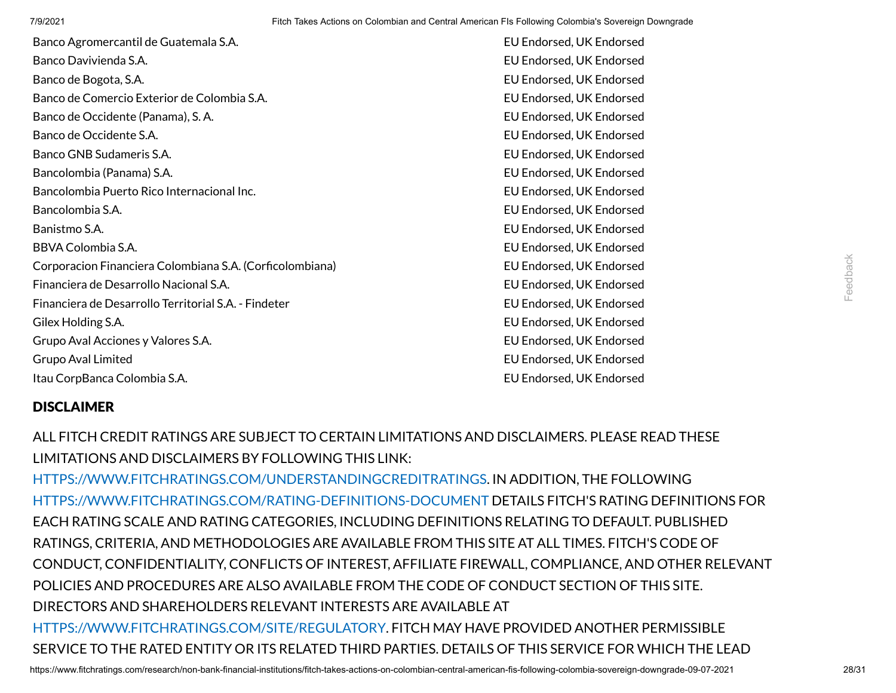| Banco Agromercantil de Guatemala S.A.                    | EU Endorsed, UK Endorsed        |          |
|----------------------------------------------------------|---------------------------------|----------|
| Banco Davivienda S.A.                                    | EU Endorsed, UK Endorsed        |          |
| Banco de Bogota, S.A.                                    | EU Endorsed, UK Endorsed        |          |
| Banco de Comercio Exterior de Colombia S.A.              | EU Endorsed, UK Endorsed        |          |
| Banco de Occidente (Panama), S.A.                        | EU Endorsed, UK Endorsed        |          |
| Banco de Occidente S.A.                                  | EU Endorsed, UK Endorsed        |          |
| Banco GNB Sudameris S.A.                                 | EU Endorsed, UK Endorsed        |          |
| Bancolombia (Panama) S.A.                                | EU Endorsed, UK Endorsed        |          |
| Bancolombia Puerto Rico Internacional Inc.               | EU Endorsed, UK Endorsed        |          |
| Bancolombia S.A.                                         | EU Endorsed, UK Endorsed        |          |
| Banistmo S.A.                                            | EU Endorsed, UK Endorsed        |          |
| BBVA Colombia S.A.                                       | EU Endorsed, UK Endorsed        |          |
| Corporacion Financiera Colombiana S.A. (Corficolombiana) | EU Endorsed, UK Endorsed        | Feedback |
| Financiera de Desarrollo Nacional S.A.                   | EU Endorsed, UK Endorsed        |          |
| Financiera de Desarrollo Territorial S.A. - Findeter     | EU Endorsed, UK Endorsed        |          |
| Gilex Holding S.A.                                       | EU Endorsed, UK Endorsed        |          |
| Grupo Aval Acciones y Valores S.A.                       | EU Endorsed, UK Endorsed        |          |
| Grupo Aval Limited                                       | EU Endorsed, UK Endorsed        |          |
| Itau CorpBanca Colombia S.A.                             | <b>EU Endorsed, UK Endorsed</b> |          |

## **DISCLAIMER**

ALL FITCH CREDIT RATINGS ARE SUBJECT TO CERTAIN LIMITATIONS AND DISCLAIMERS. PLEASE READ THESE LIMITATIONS AND DISCLAIMERS BY FOLLOWING THIS LINK: [HTTPS://WWW.FITCHRATINGS.COM/UNDERSTANDINGCREDITRATINGS](https://www.fitchratings.com/UNDERSTANDINGCREDITRATINGS). IN ADDITION, THE FOLLOWING [HTTPS://WWW.FITCHRATINGS.COM/RATING-DEFINITIONS-DOCUMENT](https://www.fitchratings.com/rating-definitions-document) DETAILS FITCH'S RATING DEFINITIONS FOR EACH RATING SCALE AND RATING CATEGORIES, INCLUDING DEFINITIONS RELATING TO DEFAULT. PUBLISHED RATINGS, CRITERIA, AND METHODOLOGIES ARE AVAILABLE FROM THIS SITE AT ALL TIMES. FITCH'S CODE OF CONDUCT, CONFIDENTIALITY, CONFLICTS OF INTEREST, AFFILIATE FIREWALL, COMPLIANCE, AND OTHER RELEVANT POLICIES AND PROCEDURES ARE ALSO AVAILABLE FROM THE CODE OF CONDUCT SECTION OF THIS SITE. DIRECTORS AND SHAREHOLDERS RELEVANT INTERESTS ARE AVAILABLE AT [HTTPS://WWW.FITCHRATINGS.COM/SITE/REGULATORY](https://www.fitchratings.com/site/regulatory). FITCH MAY HAVE PROVIDED ANOTHER PERMISSIBLE SERVICE TO THE RATED ENTITY OR ITS RELATED THIRD PARTIES. DETAILS OF THIS SERVICE FOR WHICH THE LEAD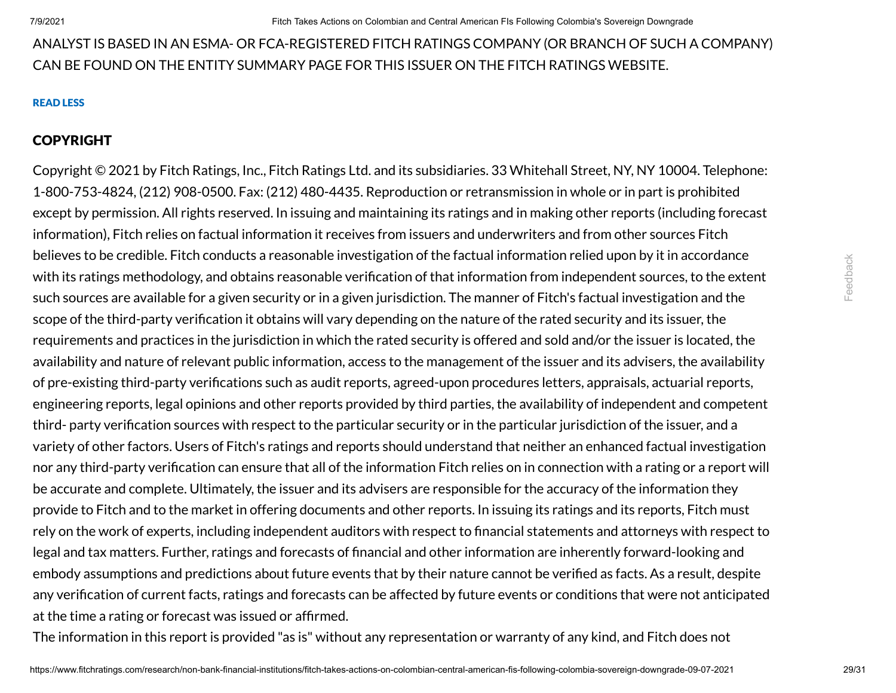## ANALYST IS BASED IN AN ESMA- OR FCA-REGISTERED FITCH RATINGS COMPANY (OR BRANCH OF SUCH A COMPANY) CAN BE FOUND ON THE ENTITY SUMMARY PAGE FOR THIS ISSUER ON THE FITCH RATINGS WEBSITE.

#### READ LESS

#### COPYRIGHT

Copyright © 2021 by Fitch Ratings, Inc., Fitch Ratings Ltd. and its subsidiaries. 33 Whitehall Street, NY, NY 10004. Telephone: 1-800-753-4824, (212) 908-0500. Fax: (212) 480-4435. Reproduction or retransmission in whole or in part is prohibited except by permission. All rights reserved. In issuing and maintaining its ratings and in making other reports (including forecast information), Fitch relies on factual information it receives from issuers and underwriters and from other sources Fitch believes to be credible. Fitch conducts a reasonable investigation of the factual information relied upon by it in accordance with its ratings methodology, and obtains reasonable verification of that information from independent sources, to the extent such sources are available for a given security or in a given jurisdiction. The manner of Fitch's factual investigation and the scope of the third-party verification it obtains will vary depending on the nature of the rated security and its issuer, the requirements and practices in the jurisdiction in which the rated security is offered and sold and/or the issuer is located, the availability and nature of relevant public information, access to the management of the issuer and its advisers, the availability of pre-existing third-party verifications such as audit reports, agreed-upon procedures letters, appraisals, actuarial reports, engineering reports, legal opinions and other reports provided by third parties, the availability of independent and competent third- party verification sources with respect to the particular security or in the particular jurisdiction of the issuer, and a variety of other factors. Users of Fitch's ratings and reports should understand that neither an enhanced factual investigation nor any third-party verification can ensure that all of the information Fitch relies on in connection with a rating or a report will be accurate and complete. Ultimately, the issuer and its advisers are responsible for the accuracy of the information they provide to Fitch and to the market in offering documents and other reports. In issuing its ratings and its reports, Fitch must rely on the work of experts, including independent auditors with respect to financial statements and attorneys with respect to legal and tax matters. Further, ratings and forecasts of financial and other information are inherently forward-looking and embody assumptions and predictions about future events that by their nature cannot be verified as facts. As a result, despite any verification of current facts, ratings and forecasts can be affected by future events or conditions that were not anticipated at the time a rating or forecast was issued or affirmed. Deverage to be readine. Fitch constolats areasonable werification of the ractual information relieved by thin accordance<br>such sources are available for a given security or in a given jurisdiction. The manner of Fitch's fac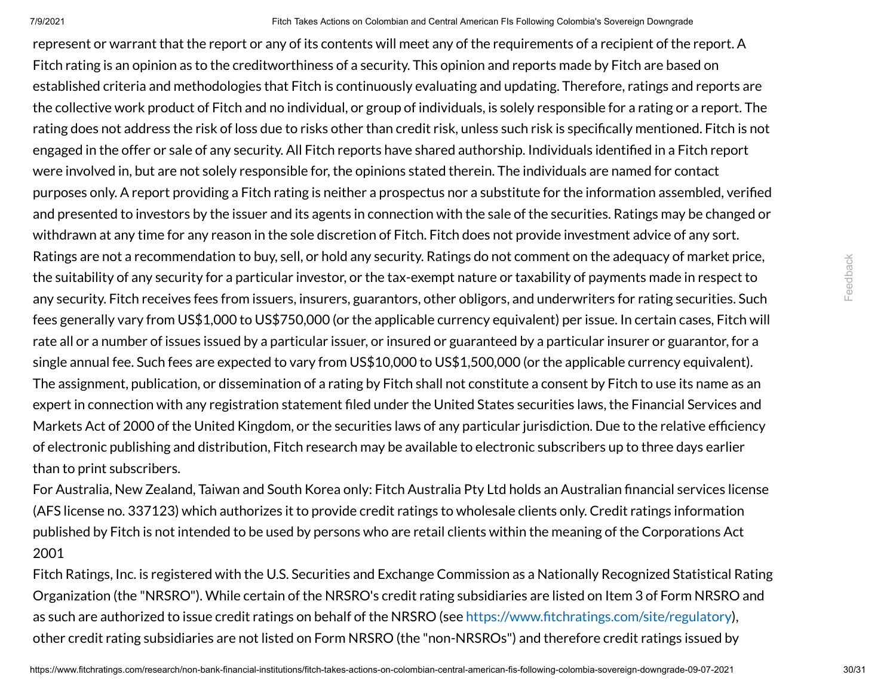represent or warrant that the report or any of its contents will meet any of the requirements of a recipient of the report. A Fitch rating is an opinion as to the creditworthiness of a security. This opinion and reports made by Fitch are based on established criteria and methodologies that Fitch is continuously evaluating and updating. Therefore, ratings and reports are the collective work product of Fitch and no individual, or group of individuals, is solely responsible for a rating or a report. The rating does not address the risk of loss due to risks other than credit risk, unless such risk is specifically mentioned. Fitch is not engaged in the offer or sale of any security. All Fitch reports have shared authorship. Individuals identified in a Fitch report were involved in, but are not solely responsible for, the opinions stated therein. The individuals are named for contact purposes only. A report providing a Fitch rating is neither a prospectus nor a substitute for the information assembled, verified and presented to investors by the issuer and its agents in connection with the sale of the securities. Ratings may be changed or withdrawn at any time for any reason in the sole discretion of Fitch. Fitch does not provide investment advice of any sort. Ratings are not a recommendation to buy, sell, or hold any security. Ratings do not comment on the adequacy of market price, the suitability of any security for a particular investor, or the tax-exempt nature or taxability of payments made in respect to any security. Fitch receives fees from issuers, insurers, guarantors, other obligors, and underwriters for rating securities. Such fees generally vary from US\$1,000 to US\$750,000 (or the applicable currency equivalent) per issue. In certain cases, Fitch will rate all or a number of issues issued by a particular issuer, or insured or guaranteed by a particular insurer or guarantor, for a single annual fee. Such fees are expected to vary from US\$10,000 to US\$1,500,000 (or the applicable currency equivalent). The assignment, publication, or dissemination of a rating by Fitch shall not constitute a consent by Fitch to use its name as an expert in connection with any registration statement filed under the United States securities laws, the Financial Services and Markets Act of 2000 of the United Kingdom, or the securities laws of any particular jurisdiction. Due to the relative efficiency of electronic publishing and distribution, Fitch research may be available to electronic subscribers up to three days earlier than to print subscribers. Natings are not a recommentation to buy, sell. or not any security, katings co not comment on the acceluacy of market prices.<br>The custability of any security for a particular investor, or the tax-exempt nature or taxabilit

For Australia, New Zealand, Taiwan and South Korea only: Fitch Australia Pty Ltd holds an Australian financial services license (AFS license no. 337123) which authorizes it to provide credit ratings to wholesale clients only. Credit ratings information published by Fitch is not intended to be used by persons who are retail clients within the meaning of the Corporations Act 2001

Fitch Ratings, Inc. is registered with the U.S. Securities and Exchange Commission as a Nationally Recognized Statistical Rating Organization (the "NRSRO"). While certain of the NRSRO's credit rating subsidiaries are listed on Item 3 of Form NRSRO and as such are authorized to issue credit ratings on behalf of the NRSRO (see [https://www.fitchratings.com/site/regulatory\)](https://www.fitchratings.com/site/regulatory),